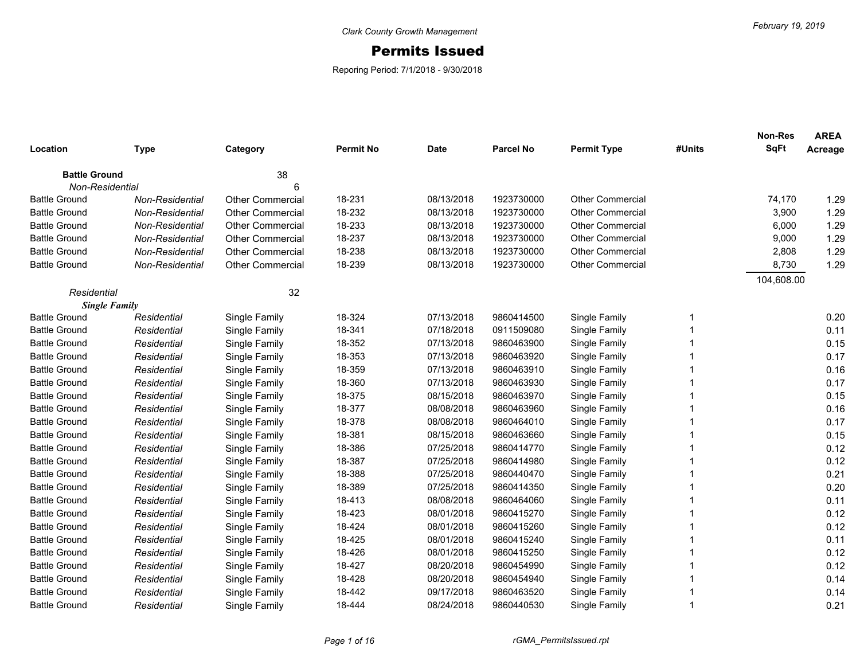## Permits Issued

Reporing Period: 7/1/2018 - 9/30/2018

|                      |                 |                         |                  |             |                  |                         |                | <b>Non-Res</b> | <b>AREA</b> |
|----------------------|-----------------|-------------------------|------------------|-------------|------------------|-------------------------|----------------|----------------|-------------|
| Location             | <b>Type</b>     | Category                | <b>Permit No</b> | <b>Date</b> | <b>Parcel No</b> | <b>Permit Type</b>      | #Units         | <b>SqFt</b>    | Acreage     |
| <b>Battle Ground</b> |                 | 38                      |                  |             |                  |                         |                |                |             |
| Non-Residential      |                 |                         |                  |             |                  |                         |                |                |             |
| <b>Battle Ground</b> | Non-Residential | <b>Other Commercial</b> | 18-231           | 08/13/2018  | 1923730000       | <b>Other Commercial</b> |                | 74,170         | 1.29        |
| <b>Battle Ground</b> | Non-Residential | <b>Other Commercial</b> | 18-232           | 08/13/2018  | 1923730000       | Other Commercial        |                | 3,900          | 1.29        |
| <b>Battle Ground</b> | Non-Residential | <b>Other Commercial</b> | 18-233           | 08/13/2018  | 1923730000       | <b>Other Commercial</b> |                | 6,000          | 1.29        |
| <b>Battle Ground</b> | Non-Residential | <b>Other Commercial</b> | 18-237           | 08/13/2018  | 1923730000       | Other Commercial        |                | 9,000          | 1.29        |
| <b>Battle Ground</b> | Non-Residential | <b>Other Commercial</b> | 18-238           | 08/13/2018  | 1923730000       | <b>Other Commercial</b> |                | 2,808          | 1.29        |
| <b>Battle Ground</b> | Non-Residential | <b>Other Commercial</b> | 18-239           | 08/13/2018  | 1923730000       | Other Commercial        |                | 8,730          | 1.29        |
|                      |                 |                         |                  |             |                  |                         |                | 104,608.00     |             |
| Residential          |                 | 32                      |                  |             |                  |                         |                |                |             |
| <b>Single Family</b> |                 |                         |                  |             |                  |                         |                |                |             |
| <b>Battle Ground</b> | Residential     | Single Family           | 18-324           | 07/13/2018  | 9860414500       | Single Family           | -1             |                | 0.20        |
| <b>Battle Ground</b> | Residential     | Single Family           | 18-341           | 07/18/2018  | 0911509080       | Single Family           |                |                | 0.11        |
| <b>Battle Ground</b> | Residential     | Single Family           | 18-352           | 07/13/2018  | 9860463900       | Single Family           |                |                | 0.15        |
| <b>Battle Ground</b> | Residential     | Single Family           | 18-353           | 07/13/2018  | 9860463920       | Single Family           |                |                | 0.17        |
| <b>Battle Ground</b> | Residential     | Single Family           | 18-359           | 07/13/2018  | 9860463910       | Single Family           |                |                | 0.16        |
| <b>Battle Ground</b> | Residential     | Single Family           | 18-360           | 07/13/2018  | 9860463930       | Single Family           |                |                | 0.17        |
| <b>Battle Ground</b> | Residential     | Single Family           | 18-375           | 08/15/2018  | 9860463970       | Single Family           |                |                | 0.15        |
| <b>Battle Ground</b> | Residential     | Single Family           | 18-377           | 08/08/2018  | 9860463960       | Single Family           |                |                | 0.16        |
| <b>Battle Ground</b> | Residential     | Single Family           | 18-378           | 08/08/2018  | 9860464010       | Single Family           | 1              |                | 0.17        |
| <b>Battle Ground</b> | Residential     | Single Family           | 18-381           | 08/15/2018  | 9860463660       | Single Family           | 1              |                | 0.15        |
| <b>Battle Ground</b> | Residential     | Single Family           | 18-386           | 07/25/2018  | 9860414770       | Single Family           | 1              |                | 0.12        |
| <b>Battle Ground</b> | Residential     | Single Family           | 18-387           | 07/25/2018  | 9860414980       | Single Family           |                |                | 0.12        |
| <b>Battle Ground</b> | Residential     | Single Family           | 18-388           | 07/25/2018  | 9860440470       | Single Family           |                |                | 0.21        |
| <b>Battle Ground</b> | Residential     | Single Family           | 18-389           | 07/25/2018  | 9860414350       | Single Family           | 1              |                | 0.20        |
| <b>Battle Ground</b> | Residential     | Single Family           | 18-413           | 08/08/2018  | 9860464060       | Single Family           | 1              |                | 0.11        |
| <b>Battle Ground</b> | Residential     | Single Family           | 18-423           | 08/01/2018  | 9860415270       | Single Family           | 1              |                | 0.12        |
| <b>Battle Ground</b> | Residential     | Single Family           | 18-424           | 08/01/2018  | 9860415260       | Single Family           | 1              |                | 0.12        |
| <b>Battle Ground</b> | Residential     | Single Family           | 18-425           | 08/01/2018  | 9860415240       | Single Family           | 1              |                | 0.11        |
| <b>Battle Ground</b> | Residential     | Single Family           | 18-426           | 08/01/2018  | 9860415250       | Single Family           |                |                | 0.12        |
| <b>Battle Ground</b> | Residential     | Single Family           | 18-427           | 08/20/2018  | 9860454990       | Single Family           |                |                | 0.12        |
| <b>Battle Ground</b> | Residential     | Single Family           | 18-428           | 08/20/2018  | 9860454940       | Single Family           |                |                | 0.14        |
| <b>Battle Ground</b> | Residential     | Single Family           | 18-442           | 09/17/2018  | 9860463520       | Single Family           | 1              |                | 0.14        |
| <b>Battle Ground</b> | Residential     | Single Family           | 18-444           | 08/24/2018  | 9860440530       | Single Family           | $\overline{1}$ |                | 0.21        |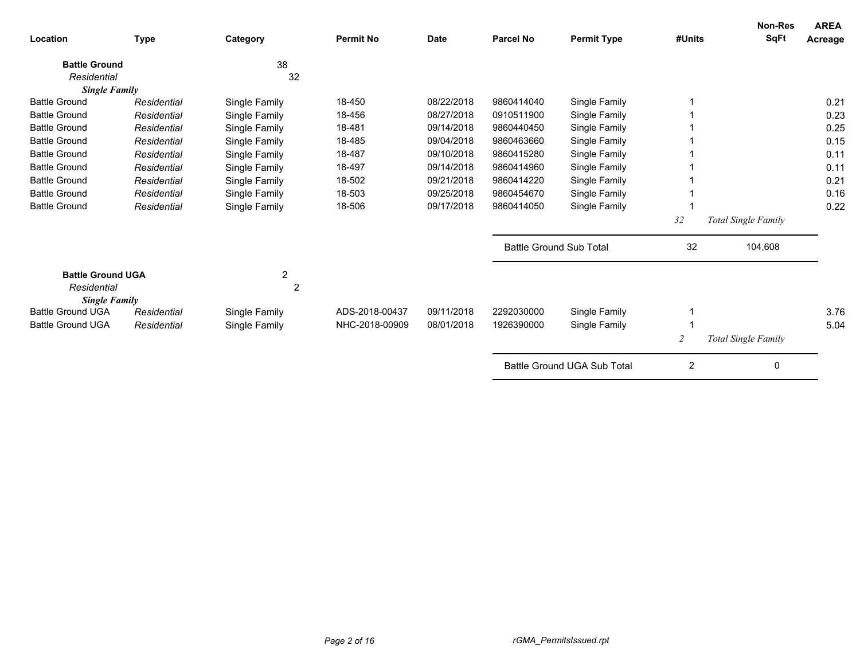| <b>Location</b>                                                 | <b>Type</b> | Category            | <b>Permit No</b> | <b>Date</b> | <b>Parcel No</b> | <b>Permit Type</b>             | #Units | <b>Non-Res</b><br><b>SqFt</b> | <b>AREA</b><br>Acreage |
|-----------------------------------------------------------------|-------------|---------------------|------------------|-------------|------------------|--------------------------------|--------|-------------------------------|------------------------|
| <b>Battle Ground</b>                                            |             | 38                  |                  |             |                  |                                |        |                               |                        |
| Residential                                                     |             | 32                  |                  |             |                  |                                |        |                               |                        |
| <b>Single Family</b>                                            |             |                     |                  |             |                  |                                |        |                               |                        |
| <b>Battle Ground</b>                                            | Residential | Single Family       | 18-450           | 08/22/2018  | 9860414040       | Single Family                  |        |                               | 0.21                   |
| <b>Battle Ground</b>                                            | Residential | Single Family       | 18-456           | 08/27/2018  | 0910511900       | Single Family                  |        |                               | 0.23                   |
| <b>Battle Ground</b>                                            | Residential | Single Family       | 18-481           | 09/14/2018  | 9860440450       | Single Family                  |        |                               | 0.25                   |
| <b>Battle Ground</b>                                            | Residential | Single Family       | 18-485           | 09/04/2018  | 9860463660       | Single Family                  |        |                               | 0.15                   |
| <b>Battle Ground</b>                                            | Residential | Single Family       | 18-487           | 09/10/2018  | 9860415280       | Single Family                  |        |                               | 0.11                   |
| <b>Battle Ground</b>                                            | Residential | Single Family       | 18-497           | 09/14/2018  | 9860414960       | Single Family                  |        |                               | 0.11                   |
| <b>Battle Ground</b>                                            | Residential | Single Family       | 18-502           | 09/21/2018  | 9860414220       | Single Family                  |        |                               | 0.21                   |
| <b>Battle Ground</b>                                            | Residential | Single Family       | 18-503           | 09/25/2018  | 9860454670       | Single Family                  |        |                               | 0.16                   |
| <b>Battle Ground</b>                                            | Residential | Single Family       | 18-506           | 09/17/2018  | 9860414050       | Single Family                  |        |                               | 0.22                   |
|                                                                 |             |                     |                  |             |                  |                                | 32     | Total Single Family           |                        |
|                                                                 |             |                     |                  |             |                  | <b>Battle Ground Sub Total</b> | 32     | 104,608                       |                        |
| <b>Battle Ground UGA</b><br>Residential<br><b>Single Family</b> |             | 2<br>$\overline{2}$ |                  |             |                  |                                |        |                               |                        |
| <b>Battle Ground UGA</b>                                        | Residential | Single Family       | ADS-2018-00437   | 09/11/2018  | 2292030000       | Single Family                  |        |                               | 3.76                   |
| <b>Battle Ground UGA</b>                                        | Residential | Single Family       | NHC-2018-00909   | 08/01/2018  | 1926390000       | Single Family                  |        |                               | 5.04                   |
|                                                                 |             |                     |                  |             |                  |                                |        | Total Single Family           |                        |
|                                                                 |             |                     |                  |             |                  | Battle Ground UGA Sub Total    | 2      | 0                             |                        |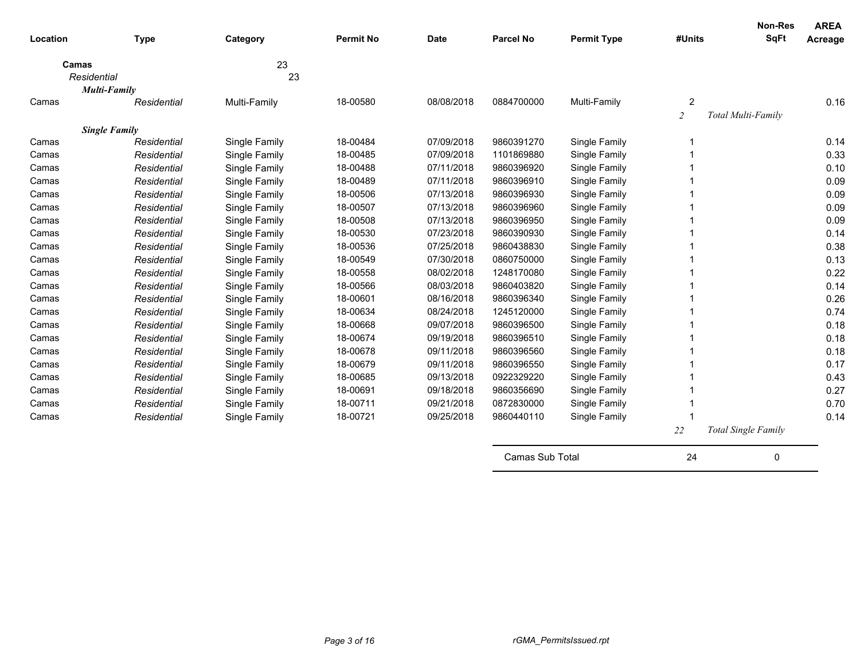| Location | <b>Type</b>                                 | Category      | <b>Permit No</b> | <b>Date</b> | <b>Parcel No</b> | <b>Permit Type</b> | #Units              | <b>Non-Res</b><br>SqFt     | <b>AREA</b><br>Acreage |
|----------|---------------------------------------------|---------------|------------------|-------------|------------------|--------------------|---------------------|----------------------------|------------------------|
|          | Camas<br>Residential<br><b>Multi-Family</b> | 23<br>23      |                  |             |                  |                    |                     |                            |                        |
| Camas    | Residential                                 | Multi-Family  | 18-00580         | 08/08/2018  | 0884700000       | Multi-Family       | 2<br>$\overline{c}$ | Total Multi-Family         | 0.16                   |
|          | <b>Single Family</b>                        |               |                  |             |                  |                    |                     |                            |                        |
| Camas    | Residential                                 | Single Family | 18-00484         | 07/09/2018  | 9860391270       | Single Family      | 1                   |                            | 0.14                   |
| Camas    | Residential                                 | Single Family | 18-00485         | 07/09/2018  | 1101869880       | Single Family      |                     |                            | 0.33                   |
| Camas    | Residential                                 | Single Family | 18-00488         | 07/11/2018  | 9860396920       | Single Family      |                     |                            | 0.10                   |
| Camas    | Residential                                 | Single Family | 18-00489         | 07/11/2018  | 9860396910       | Single Family      |                     |                            | 0.09                   |
| Camas    | Residential                                 | Single Family | 18-00506         | 07/13/2018  | 9860396930       | Single Family      | 1                   |                            | 0.09                   |
| Camas    | Residential                                 | Single Family | 18-00507         | 07/13/2018  | 9860396960       | Single Family      |                     |                            | 0.09                   |
| Camas    | Residential                                 | Single Family | 18-00508         | 07/13/2018  | 9860396950       | Single Family      |                     |                            | 0.09                   |
| Camas    | Residential                                 | Single Family | 18-00530         | 07/23/2018  | 9860390930       | Single Family      |                     |                            | 0.14                   |
| Camas    | Residential                                 | Single Family | 18-00536         | 07/25/2018  | 9860438830       | Single Family      |                     |                            | 0.38                   |
| Camas    | Residential                                 | Single Family | 18-00549         | 07/30/2018  | 0860750000       | Single Family      | 1                   |                            | 0.13                   |
| Camas    | Residential                                 | Single Family | 18-00558         | 08/02/2018  | 1248170080       | Single Family      |                     |                            | 0.22                   |
| Camas    | Residential                                 | Single Family | 18-00566         | 08/03/2018  | 9860403820       | Single Family      |                     |                            | 0.14                   |
| Camas    | Residential                                 | Single Family | 18-00601         | 08/16/2018  | 9860396340       | Single Family      |                     |                            | 0.26                   |
| Camas    | Residential                                 | Single Family | 18-00634         | 08/24/2018  | 1245120000       | Single Family      |                     |                            | 0.74                   |
| Camas    | Residential                                 | Single Family | 18-00668         | 09/07/2018  | 9860396500       | Single Family      | 1                   |                            | 0.18                   |
| Camas    | Residential                                 | Single Family | 18-00674         | 09/19/2018  | 9860396510       | Single Family      |                     |                            | 0.18                   |
| Camas    | Residential                                 | Single Family | 18-00678         | 09/11/2018  | 9860396560       | Single Family      |                     |                            | 0.18                   |
| Camas    | Residential                                 | Single Family | 18-00679         | 09/11/2018  | 9860396550       | Single Family      |                     |                            | 0.17                   |
| Camas    | Residential                                 | Single Family | 18-00685         | 09/13/2018  | 0922329220       | Single Family      |                     |                            | 0.43                   |
| Camas    | Residential                                 | Single Family | 18-00691         | 09/18/2018  | 9860356690       | Single Family      | 1                   |                            | 0.27                   |
| Camas    | Residential                                 | Single Family | 18-00711         | 09/21/2018  | 0872830000       | Single Family      |                     |                            | 0.70                   |
| Camas    | Residential                                 | Single Family | 18-00721         | 09/25/2018  | 9860440110       | Single Family      |                     |                            | 0.14                   |
|          |                                             |               |                  |             |                  |                    | 22                  | <b>Total Single Family</b> |                        |
|          |                                             |               |                  |             | Camas Sub Total  |                    | 24                  | 0                          |                        |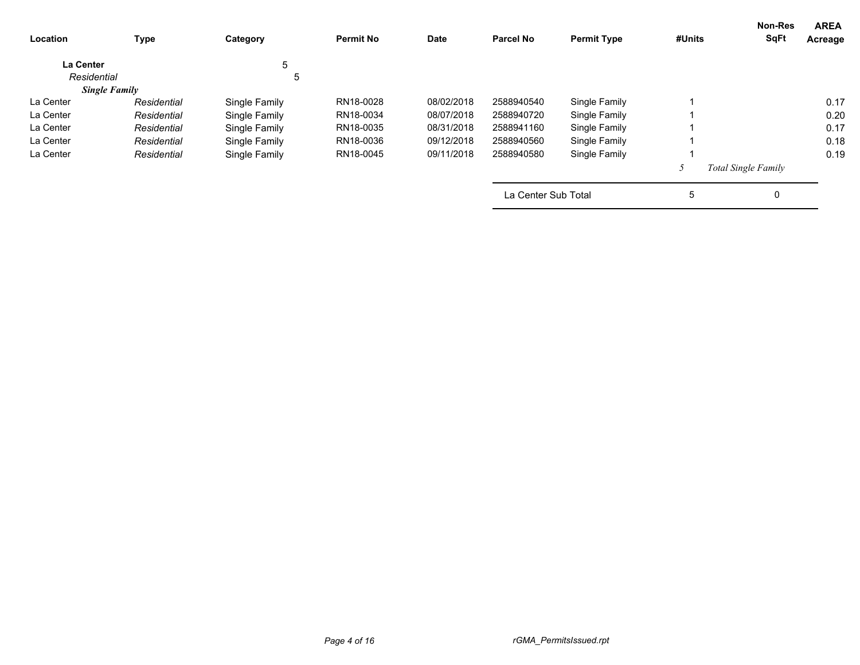| <b>AREA</b><br>Acreage | <b>Non-Res</b><br><b>SqFt</b> | #Units | <b>Permit Type</b> | <b>Parcel No</b>    | <b>Date</b> | <b>Permit No</b> | Category      | <b>Type</b>          | Location         |
|------------------------|-------------------------------|--------|--------------------|---------------------|-------------|------------------|---------------|----------------------|------------------|
|                        |                               |        |                    |                     |             |                  | 5             |                      | <b>La Center</b> |
|                        |                               |        |                    |                     |             |                  | 5             |                      | Residential      |
|                        |                               |        |                    |                     |             |                  |               | <b>Single Family</b> |                  |
| 0.17                   |                               |        | Single Family      | 2588940540          | 08/02/2018  | RN18-0028        | Single Family | Residential          | La Center        |
| 0.20                   |                               |        | Single Family      | 2588940720          | 08/07/2018  | RN18-0034        | Single Family | Residential          | La Center        |
| 0.17                   |                               |        | Single Family      | 2588941160          | 08/31/2018  | RN18-0035        | Single Family | Residential          | La Center        |
| 0.18                   |                               |        | Single Family      | 2588940560          | 09/12/2018  | RN18-0036        | Single Family | Residential          | La Center        |
| 0.19                   |                               |        | Single Family      | 2588940580          | 09/11/2018  | RN18-0045        | Single Family | Residential          | La Center        |
|                        | <b>Total Single Family</b>    |        |                    |                     |             |                  |               |                      |                  |
|                        | 0                             | 5      |                    | La Center Sub Total |             |                  |               |                      |                  |
|                        |                               |        |                    |                     |             |                  |               |                      |                  |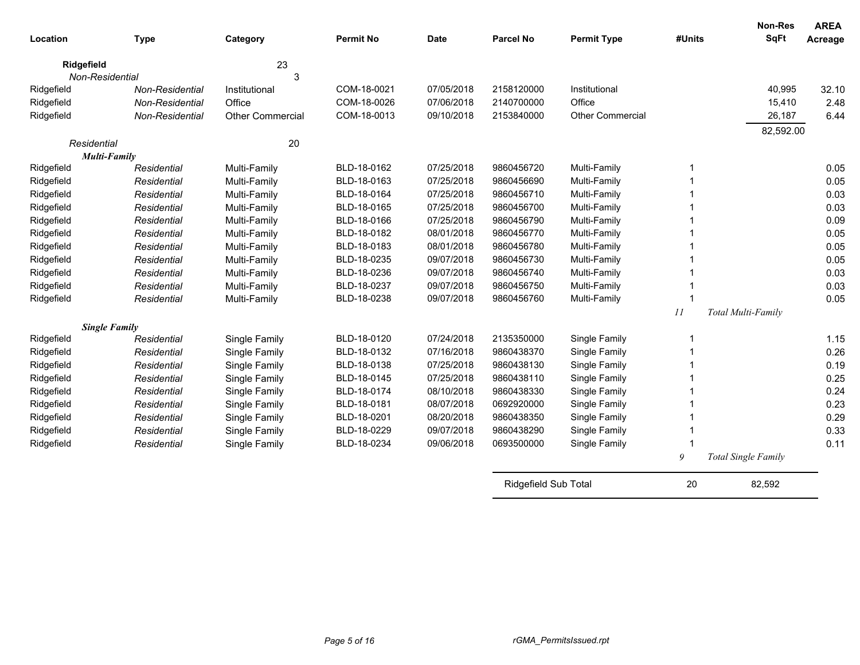| Location        | <b>Type</b>                 | Category                | <b>Permit No</b>           | <b>Date</b>              | <b>Parcel No</b>     | <b>Permit Type</b> | #Units      | Non-Res<br><b>SqFt</b>     | <b>AREA</b><br>Acreage |
|-----------------|-----------------------------|-------------------------|----------------------------|--------------------------|----------------------|--------------------|-------------|----------------------------|------------------------|
| Ridgefield      |                             | 23                      |                            |                          |                      |                    |             |                            |                        |
| Non-Residential |                             | 3                       |                            |                          |                      |                    |             |                            |                        |
| Ridgefield      | Non-Residential             | Institutional           | COM-18-0021                | 07/05/2018               | 2158120000           | Institutional      |             | 40,995                     | 32.10                  |
| Ridgefield      | Non-Residential             | Office                  | COM-18-0026                | 07/06/2018               | 2140700000           | Office             |             | 15,410                     | 2.48                   |
| Ridgefield      | Non-Residential             | <b>Other Commercial</b> | COM-18-0013                | 09/10/2018               | 2153840000           | Other Commercial   |             | 26,187                     | 6.44                   |
|                 |                             |                         |                            |                          |                      |                    |             | 82,592.00                  |                        |
| Residential     |                             | 20                      |                            |                          |                      |                    |             |                            |                        |
|                 | Multi-Family<br>Residential |                         | BLD-18-0162                | 07/25/2018               | 9860456720           |                    | -1          |                            |                        |
| Ridgefield      |                             | Multi-Family            | BLD-18-0163                |                          | 9860456690           | Multi-Family       |             |                            | 0.05<br>0.05           |
| Ridgefield      | Residential                 | Multi-Family            |                            | 07/25/2018<br>07/25/2018 | 9860456710           | Multi-Family       |             |                            |                        |
| Ridgefield      | Residential                 | Multi-Family            | BLD-18-0164<br>BLD-18-0165 | 07/25/2018               | 9860456700           | Multi-Family       |             |                            | 0.03<br>0.03           |
| Ridgefield      | Residential                 | Multi-Family            | BLD-18-0166                | 07/25/2018               | 9860456790           | Multi-Family       | -1          |                            | 0.09                   |
| Ridgefield      | Residential                 | Multi-Family            | BLD-18-0182                | 08/01/2018               | 9860456770           | Multi-Family       | -1          |                            |                        |
| Ridgefield      | Residential                 | Multi-Family            |                            |                          |                      | Multi-Family       | -1          |                            | 0.05                   |
| Ridgefield      | Residential                 | Multi-Family            | BLD-18-0183                | 08/01/2018               | 9860456780           | Multi-Family       |             |                            | 0.05                   |
| Ridgefield      | Residential                 | Multi-Family            | BLD-18-0235                | 09/07/2018               | 9860456730           | Multi-Family       | 1           |                            | 0.05                   |
| Ridgefield      | Residential                 | Multi-Family            | BLD-18-0236                | 09/07/2018               | 9860456740           | Multi-Family       |             |                            | 0.03                   |
| Ridgefield      | Residential                 | Multi-Family            | BLD-18-0237                | 09/07/2018               | 9860456750           | Multi-Family       |             |                            | 0.03                   |
| Ridgefield      | Residential                 | Multi-Family            | BLD-18-0238                | 09/07/2018               | 9860456760           | Multi-Family       | $\mathbf 1$ |                            | 0.05                   |
|                 |                             |                         |                            |                          |                      |                    | 11          | Total Multi-Family         |                        |
|                 | <b>Single Family</b>        |                         |                            |                          |                      |                    |             |                            |                        |
| Ridgefield      | Residential                 | Single Family           | BLD-18-0120                | 07/24/2018               | 2135350000           | Single Family      | -1          |                            | 1.15                   |
| Ridgefield      | Residential                 | Single Family           | BLD-18-0132                | 07/16/2018               | 9860438370           | Single Family      |             |                            | 0.26                   |
| Ridgefield      | Residential                 | Single Family           | BLD-18-0138                | 07/25/2018               | 9860438130           | Single Family      |             |                            | 0.19                   |
| Ridgefield      | Residential                 | Single Family           | BLD-18-0145                | 07/25/2018               | 9860438110           | Single Family      |             |                            | 0.25                   |
| Ridgefield      | Residential                 | Single Family           | BLD-18-0174                | 08/10/2018               | 9860438330           | Single Family      |             |                            | 0.24                   |
| Ridgefield      | Residential                 | Single Family           | BLD-18-0181                | 08/07/2018               | 0692920000           | Single Family      |             |                            | 0.23                   |
| Ridgefield      | Residential                 | Single Family           | BLD-18-0201                | 08/20/2018               | 9860438350           | Single Family      |             |                            | 0.29                   |
| Ridgefield      | Residential                 | Single Family           | BLD-18-0229                | 09/07/2018               | 9860438290           | Single Family      |             |                            | 0.33                   |
| Ridgefield      | Residential                 | Single Family           | BLD-18-0234                | 09/06/2018               | 0693500000           | Single Family      |             |                            | 0.11                   |
|                 |                             |                         |                            |                          |                      |                    | 9           | <b>Total Single Family</b> |                        |
|                 |                             |                         |                            |                          | Ridgefield Sub Total |                    | 20          | 82,592                     |                        |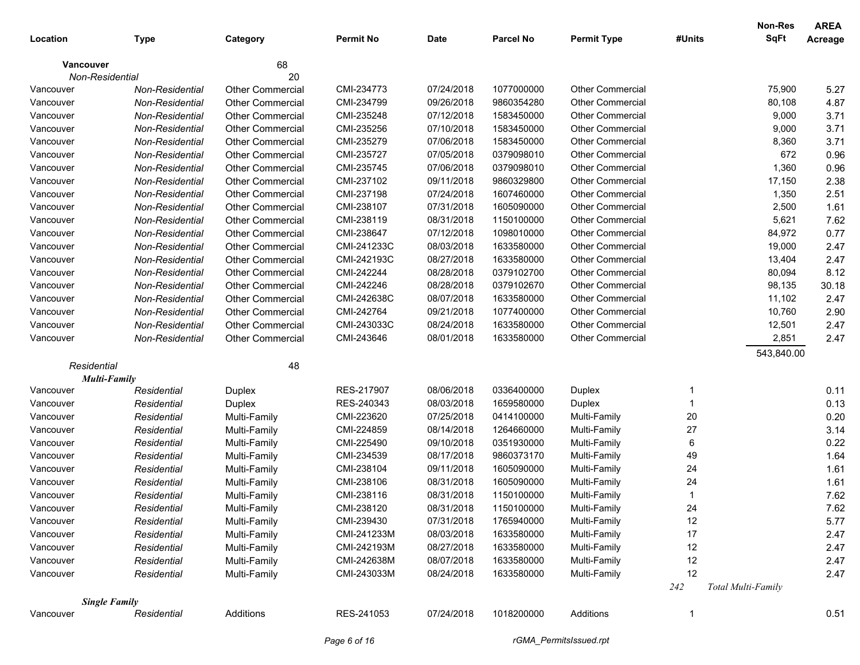|             |                      |                         |                  |             |                  |                         |        | Non-Res            | <b>AREA</b> |
|-------------|----------------------|-------------------------|------------------|-------------|------------------|-------------------------|--------|--------------------|-------------|
| Location    | <b>Type</b>          | Category                | <b>Permit No</b> | <b>Date</b> | <b>Parcel No</b> | <b>Permit Type</b>      | #Units | SqFt               | Acreage     |
| Vancouver   |                      | 68                      |                  |             |                  |                         |        |                    |             |
|             | Non-Residential      | 20                      |                  |             |                  |                         |        |                    |             |
| Vancouver   | Non-Residential      | <b>Other Commercial</b> | CMI-234773       | 07/24/2018  | 1077000000       | Other Commercial        |        | 75,900             | 5.27        |
| Vancouver   | Non-Residential      | <b>Other Commercial</b> | CMI-234799       | 09/26/2018  | 9860354280       | <b>Other Commercial</b> |        | 80,108             | 4.87        |
| Vancouver   | Non-Residential      | Other Commercial        | CMI-235248       | 07/12/2018  | 1583450000       | <b>Other Commercial</b> |        | 9,000              | 3.71        |
| Vancouver   | Non-Residential      | <b>Other Commercial</b> | CMI-235256       | 07/10/2018  | 1583450000       | <b>Other Commercial</b> |        | 9,000              | 3.71        |
| Vancouver   | Non-Residential      | <b>Other Commercial</b> | CMI-235279       | 07/06/2018  | 1583450000       | <b>Other Commercial</b> |        | 8,360              | 3.71        |
| Vancouver   | Non-Residential      | <b>Other Commercial</b> | CMI-235727       | 07/05/2018  | 0379098010       | <b>Other Commercial</b> |        | 672                | 0.96        |
| Vancouver   | Non-Residential      | <b>Other Commercial</b> | CMI-235745       | 07/06/2018  | 0379098010       | <b>Other Commercial</b> |        | 1,360              | 0.96        |
| Vancouver   | Non-Residential      | <b>Other Commercial</b> | CMI-237102       | 09/11/2018  | 9860329800       | Other Commercial        |        | 17,150             | 2.38        |
| Vancouver   | Non-Residential      | <b>Other Commercial</b> | CMI-237198       | 07/24/2018  | 1607460000       | <b>Other Commercial</b> |        | 1,350              | 2.51        |
| Vancouver   | Non-Residential      | <b>Other Commercial</b> | CMI-238107       | 07/31/2018  | 1605090000       | <b>Other Commercial</b> |        | 2,500              | 1.61        |
| Vancouver   | Non-Residential      | <b>Other Commercial</b> | CMI-238119       | 08/31/2018  | 1150100000       | <b>Other Commercial</b> |        | 5,621              | 7.62        |
| Vancouver   | Non-Residential      | <b>Other Commercial</b> | CMI-238647       | 07/12/2018  | 1098010000       | <b>Other Commercial</b> |        | 84,972             | 0.77        |
| Vancouver   | Non-Residential      | <b>Other Commercial</b> | CMI-241233C      | 08/03/2018  | 1633580000       | <b>Other Commercial</b> |        | 19,000             | 2.47        |
| Vancouver   | Non-Residential      | <b>Other Commercial</b> | CMI-242193C      | 08/27/2018  | 1633580000       | <b>Other Commercial</b> |        | 13,404             | 2.47        |
| Vancouver   | Non-Residential      | <b>Other Commercial</b> | CMI-242244       | 08/28/2018  | 0379102700       | Other Commercial        |        | 80,094             | 8.12        |
| Vancouver   | Non-Residential      | <b>Other Commercial</b> | CMI-242246       | 08/28/2018  | 0379102670       | Other Commercial        |        | 98,135             | 30.18       |
| Vancouver   | Non-Residential      | <b>Other Commercial</b> | CMI-242638C      | 08/07/2018  | 1633580000       | <b>Other Commercial</b> |        | 11,102             | 2.47        |
| Vancouver   | Non-Residential      | <b>Other Commercial</b> | CMI-242764       | 09/21/2018  | 1077400000       | <b>Other Commercial</b> |        | 10,760             | 2.90        |
| Vancouver   | Non-Residential      | <b>Other Commercial</b> | CMI-243033C      | 08/24/2018  | 1633580000       | <b>Other Commercial</b> |        | 12,501             | 2.47        |
| Vancouver   | Non-Residential      | <b>Other Commercial</b> | CMI-243646       | 08/01/2018  | 1633580000       | <b>Other Commercial</b> |        | 2,851              | 2.47        |
|             |                      |                         |                  |             |                  |                         |        | 543,840.00         |             |
| Residential |                      | 48                      |                  |             |                  |                         |        |                    |             |
|             | <b>Multi-Family</b>  |                         |                  |             |                  |                         |        |                    |             |
| Vancouver   | Residential          | Duplex                  | RES-217907       | 08/06/2018  | 0336400000       | Duplex                  | 1      |                    | 0.11        |
| Vancouver   | Residential          | Duplex                  | RES-240343       | 08/03/2018  | 1659580000       | Duplex                  | 1      |                    | 0.13        |
| Vancouver   | Residential          | Multi-Family            | CMI-223620       | 07/25/2018  | 0414100000       | Multi-Family            | $20\,$ |                    | 0.20        |
| Vancouver   | Residential          | Multi-Family            | CMI-224859       | 08/14/2018  | 1264660000       | Multi-Family            | 27     |                    | 3.14        |
| Vancouver   | Residential          | Multi-Family            | CMI-225490       | 09/10/2018  | 0351930000       | Multi-Family            | 6      |                    | 0.22        |
| Vancouver   | Residential          | Multi-Family            | CMI-234539       | 08/17/2018  | 9860373170       | Multi-Family            | 49     |                    | 1.64        |
| Vancouver   | Residential          | Multi-Family            | CMI-238104       | 09/11/2018  | 1605090000       | Multi-Family            | 24     |                    | 1.61        |
| Vancouver   | Residential          | Multi-Family            | CMI-238106       | 08/31/2018  | 1605090000       | Multi-Family            | 24     |                    | 1.61        |
| Vancouver   | Residential          | Multi-Family            | CMI-238116       | 08/31/2018  | 1150100000       | Multi-Family            | 1      |                    | 7.62        |
| Vancouver   | Residential          | Multi-Family            | CMI-238120       | 08/31/2018  | 1150100000       | Multi-Family            | 24     |                    | 7.62        |
| Vancouver   | Residential          | Multi-Family            | CMI-239430       | 07/31/2018  | 1765940000       | Multi-Family            | 12     |                    | 5.77        |
| Vancouver   | Residential          | Multi-Family            | CMI-241233M      | 08/03/2018  | 1633580000       | Multi-Family            | 17     |                    | 2.47        |
| Vancouver   | Residential          | Multi-Family            | CMI-242193M      | 08/27/2018  | 1633580000       | Multi-Family            | 12     |                    | 2.47        |
| Vancouver   | Residential          | Multi-Family            | CMI-242638M      | 08/07/2018  | 1633580000       | Multi-Family            | 12     |                    | 2.47        |
| Vancouver   | Residential          | Multi-Family            | CMI-243033M      | 08/24/2018  | 1633580000       | Multi-Family            | 12     |                    | 2.47        |
|             |                      |                         |                  |             |                  |                         | 242    | Total Multi-Family |             |
|             | <b>Single Family</b> |                         |                  |             |                  |                         |        |                    |             |
| Vancouver   | Residential          | Additions               | RES-241053       | 07/24/2018  | 1018200000       | Additions               | 1      |                    | 0.51        |
|             |                      |                         | Page 6 of 16     |             |                  | rGMA_PermitsIssued.rpt  |        |                    |             |
|             |                      |                         |                  |             |                  |                         |        |                    |             |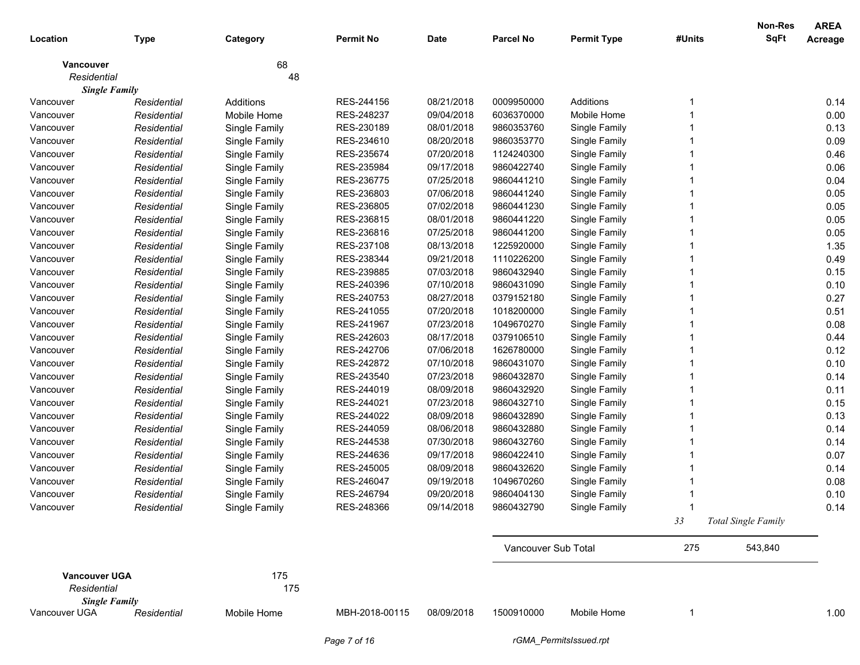|                      |             |               |                  |             |                     |                    |        | Non-Res             | <b>AREA</b> |
|----------------------|-------------|---------------|------------------|-------------|---------------------|--------------------|--------|---------------------|-------------|
| Location             | <b>Type</b> | Category      | <b>Permit No</b> | <b>Date</b> | <b>Parcel No</b>    | <b>Permit Type</b> | #Units | <b>SqFt</b>         | Acreage     |
| <b>Vancouver</b>     |             | 68            |                  |             |                     |                    |        |                     |             |
| Residential          |             | 48            |                  |             |                     |                    |        |                     |             |
| <b>Single Family</b> |             |               |                  |             |                     |                    |        |                     |             |
| Vancouver            | Residential | Additions     | RES-244156       | 08/21/2018  | 0009950000          | Additions          |        |                     | 0.14        |
| Vancouver            | Residential | Mobile Home   | RES-248237       | 09/04/2018  | 6036370000          | Mobile Home        |        |                     | 0.00        |
| Vancouver            | Residential | Single Family | RES-230189       | 08/01/2018  | 9860353760          | Single Family      |        |                     | 0.13        |
| Vancouver            | Residential | Single Family | RES-234610       | 08/20/2018  | 9860353770          | Single Family      |        |                     | 0.09        |
| Vancouver            | Residential | Single Family | RES-235674       | 07/20/2018  | 1124240300          | Single Family      |        |                     | 0.46        |
| Vancouver            | Residential | Single Family | RES-235984       | 09/17/2018  | 9860422740          | Single Family      |        |                     | 0.06        |
| Vancouver            | Residential | Single Family | RES-236775       | 07/25/2018  | 9860441210          | Single Family      |        |                     | 0.04        |
| Vancouver            | Residential | Single Family | RES-236803       | 07/06/2018  | 9860441240          | Single Family      |        |                     | 0.05        |
| Vancouver            | Residential | Single Family | RES-236805       | 07/02/2018  | 9860441230          | Single Family      |        |                     | 0.05        |
| Vancouver            | Residential | Single Family | RES-236815       | 08/01/2018  | 9860441220          | Single Family      |        |                     | 0.05        |
| Vancouver            | Residential | Single Family | RES-236816       | 07/25/2018  | 9860441200          | Single Family      |        |                     | 0.05        |
| Vancouver            | Residential | Single Family | RES-237108       | 08/13/2018  | 1225920000          | Single Family      |        |                     | 1.35        |
| Vancouver            | Residential | Single Family | RES-238344       | 09/21/2018  | 1110226200          | Single Family      |        |                     | 0.49        |
| Vancouver            | Residential | Single Family | RES-239885       | 07/03/2018  | 9860432940          | Single Family      |        |                     | 0.15        |
| Vancouver            | Residential | Single Family | RES-240396       | 07/10/2018  | 9860431090          | Single Family      |        |                     | 0.10        |
| Vancouver            | Residential | Single Family | RES-240753       | 08/27/2018  | 0379152180          | Single Family      |        |                     | 0.27        |
| Vancouver            | Residential | Single Family | RES-241055       | 07/20/2018  | 1018200000          | Single Family      |        |                     | 0.51        |
| Vancouver            | Residential | Single Family | RES-241967       | 07/23/2018  | 1049670270          | Single Family      |        |                     | 0.08        |
| Vancouver            | Residential | Single Family | RES-242603       | 08/17/2018  | 0379106510          | Single Family      |        |                     | 0.44        |
| Vancouver            | Residential | Single Family | RES-242706       | 07/06/2018  | 1626780000          | Single Family      |        |                     | 0.12        |
| Vancouver            | Residential | Single Family | RES-242872       | 07/10/2018  | 9860431070          | Single Family      |        |                     | 0.10        |
| Vancouver            | Residential | Single Family | RES-243540       | 07/23/2018  | 9860432870          | Single Family      |        |                     | 0.14        |
| Vancouver            | Residential | Single Family | RES-244019       | 08/09/2018  | 9860432920          | Single Family      |        |                     | 0.11        |
| Vancouver            | Residential | Single Family | RES-244021       | 07/23/2018  | 9860432710          | Single Family      |        |                     | 0.15        |
| Vancouver            | Residential | Single Family | RES-244022       | 08/09/2018  | 9860432890          | Single Family      |        |                     | 0.13        |
| Vancouver            | Residential | Single Family | RES-244059       | 08/06/2018  | 9860432880          | Single Family      |        |                     | 0.14        |
| Vancouver            | Residential | Single Family | RES-244538       | 07/30/2018  | 9860432760          | Single Family      |        |                     | 0.14        |
| Vancouver            | Residential | Single Family | RES-244636       | 09/17/2018  | 9860422410          | Single Family      |        |                     | 0.07        |
| Vancouver            | Residential | Single Family | RES-245005       | 08/09/2018  | 9860432620          | Single Family      |        |                     | 0.14        |
| Vancouver            | Residential | Single Family | RES-246047       | 09/19/2018  | 1049670260          | Single Family      |        |                     | 0.08        |
| Vancouver            | Residential | Single Family | RES-246794       | 09/20/2018  | 9860404130          | Single Family      |        |                     | 0.10        |
| Vancouver            | Residential | Single Family | RES-248366       | 09/14/2018  | 9860432790          | Single Family      |        |                     | 0.14        |
|                      |             |               |                  |             |                     |                    | 33     | Total Single Family |             |
|                      |             |               |                  |             | Vancouver Sub Total |                    | 275    | 543,840             |             |
|                      |             |               |                  |             |                     |                    |        |                     |             |
| <b>Vancouver UGA</b> |             | 175           |                  |             |                     |                    |        |                     |             |
| Residential          |             | 175           |                  |             |                     |                    |        |                     |             |
| <b>Single Family</b> |             |               |                  |             |                     |                    |        |                     |             |
| Vancouver UGA        | Residential | Mobile Home   | MBH-2018-00115   | 08/09/2018  | 1500910000          | Mobile Home        | -1     |                     | 1.00        |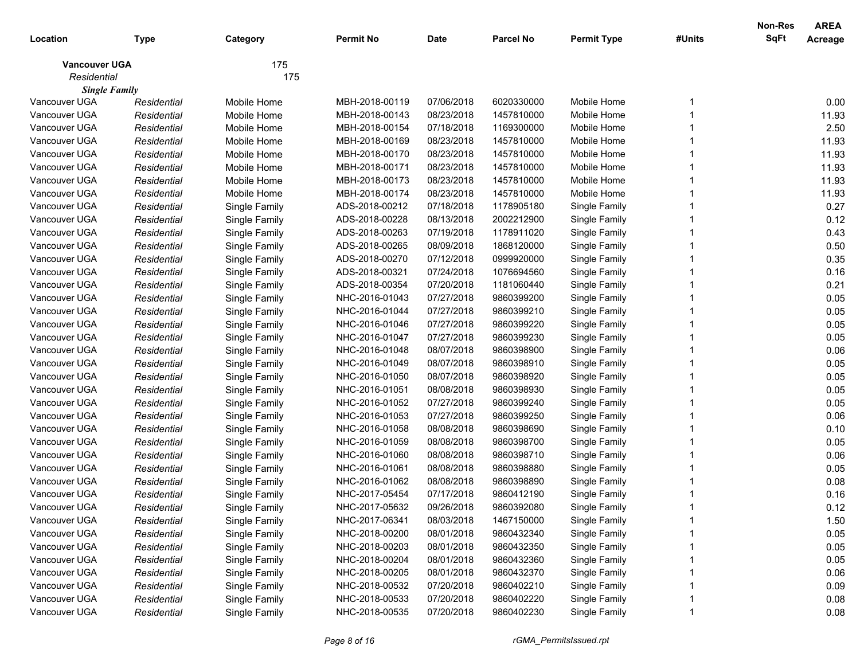| Location             | <b>Type</b> | Category      | Permit No      | <b>Date</b> | <b>Parcel No</b> | <b>Permit Type</b> | #Units | <b>Non-Res</b><br>SqFt | <b>AREA</b><br>Acreage |
|----------------------|-------------|---------------|----------------|-------------|------------------|--------------------|--------|------------------------|------------------------|
| <b>Vancouver UGA</b> |             | 175           |                |             |                  |                    |        |                        |                        |
| Residential          |             | 175           |                |             |                  |                    |        |                        |                        |
| <b>Single Family</b> |             |               |                |             |                  |                    |        |                        |                        |
| Vancouver UGA        | Residential | Mobile Home   | MBH-2018-00119 | 07/06/2018  | 6020330000       | Mobile Home        |        |                        | 0.00                   |
| Vancouver UGA        | Residential | Mobile Home   | MBH-2018-00143 | 08/23/2018  | 1457810000       | Mobile Home        |        |                        | 11.93                  |
| Vancouver UGA        | Residential | Mobile Home   | MBH-2018-00154 | 07/18/2018  | 1169300000       | Mobile Home        |        |                        | 2.50                   |
| Vancouver UGA        | Residential | Mobile Home   | MBH-2018-00169 | 08/23/2018  | 1457810000       | Mobile Home        |        |                        | 11.93                  |
| Vancouver UGA        | Residential | Mobile Home   | MBH-2018-00170 | 08/23/2018  | 1457810000       | Mobile Home        |        |                        | 11.93                  |
| Vancouver UGA        | Residential | Mobile Home   | MBH-2018-00171 | 08/23/2018  | 1457810000       | Mobile Home        |        |                        | 11.93                  |
| Vancouver UGA        | Residential | Mobile Home   | MBH-2018-00173 | 08/23/2018  | 1457810000       | Mobile Home        |        |                        | 11.93                  |
| Vancouver UGA        | Residential | Mobile Home   | MBH-2018-00174 | 08/23/2018  | 1457810000       | Mobile Home        |        |                        | 11.93                  |
| Vancouver UGA        | Residential | Single Family | ADS-2018-00212 | 07/18/2018  | 1178905180       | Single Family      |        |                        | 0.27                   |
| Vancouver UGA        | Residential | Single Family | ADS-2018-00228 | 08/13/2018  | 2002212900       | Single Family      |        |                        | 0.12                   |
| Vancouver UGA        | Residential | Single Family | ADS-2018-00263 | 07/19/2018  | 1178911020       | Single Family      |        |                        | 0.43                   |
| Vancouver UGA        | Residential | Single Family | ADS-2018-00265 | 08/09/2018  | 1868120000       | Single Family      |        |                        | 0.50                   |
| Vancouver UGA        | Residential | Single Family | ADS-2018-00270 | 07/12/2018  | 0999920000       | Single Family      |        |                        | 0.35                   |
| Vancouver UGA        | Residential | Single Family | ADS-2018-00321 | 07/24/2018  | 1076694560       | Single Family      |        |                        | 0.16                   |
| Vancouver UGA        | Residential | Single Family | ADS-2018-00354 | 07/20/2018  | 1181060440       | Single Family      |        |                        | 0.21                   |
| Vancouver UGA        | Residential | Single Family | NHC-2016-01043 | 07/27/2018  | 9860399200       | Single Family      |        |                        | 0.05                   |
| Vancouver UGA        | Residential | Single Family | NHC-2016-01044 | 07/27/2018  | 9860399210       | Single Family      |        |                        | 0.05                   |
| Vancouver UGA        | Residential | Single Family | NHC-2016-01046 | 07/27/2018  | 9860399220       | Single Family      |        |                        | 0.05                   |
| Vancouver UGA        | Residential | Single Family | NHC-2016-01047 | 07/27/2018  | 9860399230       | Single Family      |        |                        | 0.05                   |
| Vancouver UGA        | Residential | Single Family | NHC-2016-01048 | 08/07/2018  | 9860398900       | Single Family      |        |                        | 0.06                   |
| Vancouver UGA        | Residential | Single Family | NHC-2016-01049 | 08/07/2018  | 9860398910       | Single Family      |        |                        | 0.05                   |
| Vancouver UGA        | Residential | Single Family | NHC-2016-01050 | 08/07/2018  | 9860398920       | Single Family      |        |                        | 0.05                   |
| Vancouver UGA        | Residential | Single Family | NHC-2016-01051 | 08/08/2018  | 9860398930       | Single Family      |        |                        | 0.05                   |
| Vancouver UGA        | Residential | Single Family | NHC-2016-01052 | 07/27/2018  | 9860399240       | Single Family      |        |                        | 0.05                   |
| Vancouver UGA        | Residential | Single Family | NHC-2016-01053 | 07/27/2018  | 9860399250       | Single Family      |        |                        | 0.06                   |
| Vancouver UGA        | Residential | Single Family | NHC-2016-01058 | 08/08/2018  | 9860398690       | Single Family      |        |                        | 0.10                   |
| Vancouver UGA        | Residential | Single Family | NHC-2016-01059 | 08/08/2018  | 9860398700       | Single Family      |        |                        | 0.05                   |
| Vancouver UGA        | Residential | Single Family | NHC-2016-01060 | 08/08/2018  | 9860398710       | Single Family      |        |                        | 0.06                   |
| Vancouver UGA        | Residential | Single Family | NHC-2016-01061 | 08/08/2018  | 9860398880       | Single Family      |        |                        | 0.05                   |
| Vancouver UGA        | Residential | Single Family | NHC-2016-01062 | 08/08/2018  | 9860398890       | Single Family      |        |                        | 0.08                   |
| Vancouver UGA        | Residential | Single Family | NHC-2017-05454 | 07/17/2018  | 9860412190       | Single Family      |        |                        | 0.16                   |
| Vancouver UGA        | Residential | Single Family | NHC-2017-05632 | 09/26/2018  | 9860392080       | Single Family      |        |                        | 0.12                   |
| Vancouver UGA        | Residential | Single Family | NHC-2017-06341 | 08/03/2018  | 1467150000       | Single Family      |        |                        | 1.50                   |
| Vancouver UGA        | Residential | Single Family | NHC-2018-00200 | 08/01/2018  | 9860432340       | Single Family      |        |                        | 0.05                   |
| Vancouver UGA        | Residential | Single Family | NHC-2018-00203 | 08/01/2018  | 9860432350       | Single Family      |        |                        | 0.05                   |
| Vancouver UGA        | Residential | Single Family | NHC-2018-00204 | 08/01/2018  | 9860432360       | Single Family      |        |                        | 0.05                   |
| Vancouver UGA        | Residential | Single Family | NHC-2018-00205 | 08/01/2018  | 9860432370       | Single Family      |        |                        | 0.06                   |
| Vancouver UGA        | Residential | Single Family | NHC-2018-00532 | 07/20/2018  | 9860402210       | Single Family      |        |                        | 0.09                   |
| Vancouver UGA        | Residential | Single Family | NHC-2018-00533 | 07/20/2018  | 9860402220       | Single Family      |        |                        | 0.08                   |
| Vancouver UGA        | Residential | Single Family | NHC-2018-00535 | 07/20/2018  | 9860402230       | Single Family      |        |                        | 0.08                   |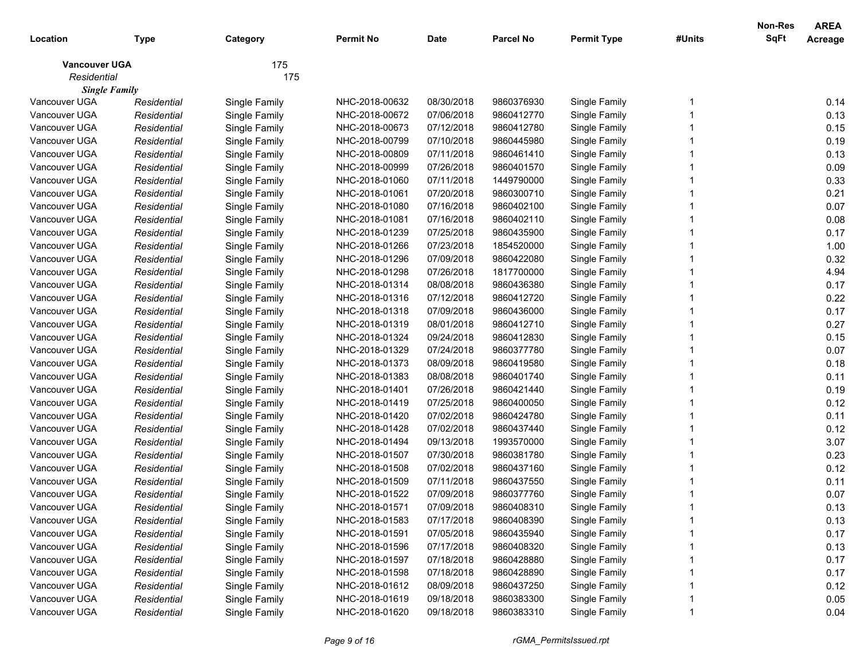| Location             | <b>Type</b> | Category      | <b>Permit No</b> | <b>Date</b> | <b>Parcel No</b> | <b>Permit Type</b> | #Units | <b>Non-Res</b><br>SqFt | <b>AREA</b><br>Acreage |
|----------------------|-------------|---------------|------------------|-------------|------------------|--------------------|--------|------------------------|------------------------|
| <b>Vancouver UGA</b> |             | 175           |                  |             |                  |                    |        |                        |                        |
| Residential          |             | 175           |                  |             |                  |                    |        |                        |                        |
| <b>Single Family</b> |             |               |                  |             |                  |                    |        |                        |                        |
| Vancouver UGA        | Residential | Single Family | NHC-2018-00632   | 08/30/2018  | 9860376930       | Single Family      |        |                        | 0.14                   |
| Vancouver UGA        | Residential | Single Family | NHC-2018-00672   | 07/06/2018  | 9860412770       | Single Family      |        |                        | 0.13                   |
| Vancouver UGA        | Residential | Single Family | NHC-2018-00673   | 07/12/2018  | 9860412780       | Single Family      |        |                        | 0.15                   |
| Vancouver UGA        | Residential | Single Family | NHC-2018-00799   | 07/10/2018  | 9860445980       | Single Family      |        |                        | 0.19                   |
| Vancouver UGA        | Residential | Single Family | NHC-2018-00809   | 07/11/2018  | 9860461410       | Single Family      |        |                        | 0.13                   |
| Vancouver UGA        | Residential | Single Family | NHC-2018-00999   | 07/26/2018  | 9860401570       | Single Family      |        |                        | 0.09                   |
| Vancouver UGA        | Residential | Single Family | NHC-2018-01060   | 07/11/2018  | 1449790000       | Single Family      |        |                        | 0.33                   |
| Vancouver UGA        | Residential | Single Family | NHC-2018-01061   | 07/20/2018  | 9860300710       | Single Family      |        |                        | 0.21                   |
| Vancouver UGA        | Residential | Single Family | NHC-2018-01080   | 07/16/2018  | 9860402100       | Single Family      |        |                        | 0.07                   |
| Vancouver UGA        | Residential | Single Family | NHC-2018-01081   | 07/16/2018  | 9860402110       | Single Family      |        |                        | 0.08                   |
| Vancouver UGA        | Residential | Single Family | NHC-2018-01239   | 07/25/2018  | 9860435900       | Single Family      |        |                        | 0.17                   |
| Vancouver UGA        | Residential | Single Family | NHC-2018-01266   | 07/23/2018  | 1854520000       | Single Family      |        |                        | 1.00                   |
| Vancouver UGA        | Residential | Single Family | NHC-2018-01296   | 07/09/2018  | 9860422080       | Single Family      |        |                        | 0.32                   |
| Vancouver UGA        | Residential | Single Family | NHC-2018-01298   | 07/26/2018  | 1817700000       | Single Family      |        |                        | 4.94                   |
| Vancouver UGA        | Residential | Single Family | NHC-2018-01314   | 08/08/2018  | 9860436380       | Single Family      |        |                        | 0.17                   |
| Vancouver UGA        | Residential | Single Family | NHC-2018-01316   | 07/12/2018  | 9860412720       | Single Family      |        |                        | 0.22                   |
| Vancouver UGA        | Residential | Single Family | NHC-2018-01318   | 07/09/2018  | 9860436000       | Single Family      |        |                        | 0.17                   |
| Vancouver UGA        | Residential | Single Family | NHC-2018-01319   | 08/01/2018  | 9860412710       | Single Family      |        |                        | 0.27                   |
| Vancouver UGA        | Residential | Single Family | NHC-2018-01324   | 09/24/2018  | 9860412830       | Single Family      |        |                        | 0.15                   |
| Vancouver UGA        | Residential | Single Family | NHC-2018-01329   | 07/24/2018  | 9860377780       | Single Family      |        |                        | 0.07                   |
| Vancouver UGA        | Residential | Single Family | NHC-2018-01373   | 08/09/2018  | 9860419580       | Single Family      |        |                        | 0.18                   |
| Vancouver UGA        | Residential | Single Family | NHC-2018-01383   | 08/08/2018  | 9860401740       | Single Family      |        |                        | 0.11                   |
| Vancouver UGA        | Residential | Single Family | NHC-2018-01401   | 07/26/2018  | 9860421440       | Single Family      |        |                        | 0.19                   |
| Vancouver UGA        | Residential | Single Family | NHC-2018-01419   | 07/25/2018  | 9860400050       | Single Family      |        |                        | 0.12                   |
| Vancouver UGA        | Residential | Single Family | NHC-2018-01420   | 07/02/2018  | 9860424780       | Single Family      |        |                        | 0.11                   |
| Vancouver UGA        | Residential | Single Family | NHC-2018-01428   | 07/02/2018  | 9860437440       | Single Family      |        |                        | 0.12                   |
| Vancouver UGA        | Residential | Single Family | NHC-2018-01494   | 09/13/2018  | 1993570000       | Single Family      |        |                        | 3.07                   |
| Vancouver UGA        | Residential | Single Family | NHC-2018-01507   | 07/30/2018  | 9860381780       | Single Family      |        |                        | 0.23                   |
| Vancouver UGA        | Residential | Single Family | NHC-2018-01508   | 07/02/2018  | 9860437160       | Single Family      |        |                        | 0.12                   |
| Vancouver UGA        | Residential | Single Family | NHC-2018-01509   | 07/11/2018  | 9860437550       | Single Family      |        |                        | 0.11                   |
| Vancouver UGA        | Residential | Single Family | NHC-2018-01522   | 07/09/2018  | 9860377760       | Single Family      |        |                        | 0.07                   |
| Vancouver UGA        | Residential | Single Family | NHC-2018-01571   | 07/09/2018  | 9860408310       | Single Family      |        |                        | 0.13                   |
| Vancouver UGA        | Residential | Single Family | NHC-2018-01583   | 07/17/2018  | 9860408390       | Single Family      |        |                        | 0.13                   |
| Vancouver UGA        | Residential | Single Family | NHC-2018-01591   | 07/05/2018  | 9860435940       | Single Family      |        |                        | 0.17                   |
| Vancouver UGA        | Residential | Single Family | NHC-2018-01596   | 07/17/2018  | 9860408320       | Single Family      |        |                        | 0.13                   |
| Vancouver UGA        | Residential | Single Family | NHC-2018-01597   | 07/18/2018  | 9860428880       | Single Family      |        |                        | 0.17                   |
| Vancouver UGA        | Residential | Single Family | NHC-2018-01598   | 07/18/2018  | 9860428890       | Single Family      |        |                        | 0.17                   |
| Vancouver UGA        | Residential | Single Family | NHC-2018-01612   | 08/09/2018  | 9860437250       | Single Family      |        |                        | 0.12                   |
| Vancouver UGA        | Residential | Single Family | NHC-2018-01619   | 09/18/2018  | 9860383300       | Single Family      |        |                        | 0.05                   |
| Vancouver UGA        | Residential | Single Family | NHC-2018-01620   | 09/18/2018  | 9860383310       | Single Family      |        |                        | 0.04                   |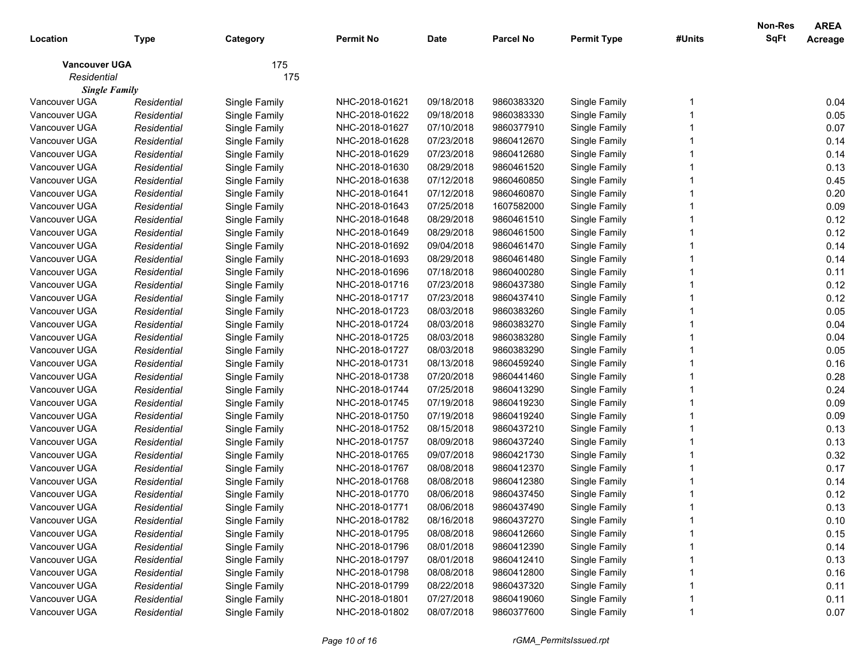| Location             | <b>Type</b> | Category      | <b>Permit No</b> | <b>Date</b> | <b>Parcel No</b> | <b>Permit Type</b> | #Units | <b>Non-Res</b><br>SqFt | <b>AREA</b><br>Acreage |
|----------------------|-------------|---------------|------------------|-------------|------------------|--------------------|--------|------------------------|------------------------|
| <b>Vancouver UGA</b> |             | 175           |                  |             |                  |                    |        |                        |                        |
| Residential          |             | 175           |                  |             |                  |                    |        |                        |                        |
| <b>Single Family</b> |             |               |                  |             |                  |                    |        |                        |                        |
| Vancouver UGA        | Residential | Single Family | NHC-2018-01621   | 09/18/2018  | 9860383320       | Single Family      |        |                        | 0.04                   |
| Vancouver UGA        | Residential | Single Family | NHC-2018-01622   | 09/18/2018  | 9860383330       | Single Family      |        |                        | 0.05                   |
| Vancouver UGA        | Residential | Single Family | NHC-2018-01627   | 07/10/2018  | 9860377910       | Single Family      |        |                        | 0.07                   |
| Vancouver UGA        | Residential | Single Family | NHC-2018-01628   | 07/23/2018  | 9860412670       | Single Family      |        |                        | 0.14                   |
| Vancouver UGA        | Residential | Single Family | NHC-2018-01629   | 07/23/2018  | 9860412680       | Single Family      |        |                        | 0.14                   |
| Vancouver UGA        | Residential | Single Family | NHC-2018-01630   | 08/29/2018  | 9860461520       | Single Family      |        |                        | 0.13                   |
| Vancouver UGA        | Residential | Single Family | NHC-2018-01638   | 07/12/2018  | 9860460850       | Single Family      |        |                        | 0.45                   |
| Vancouver UGA        | Residential | Single Family | NHC-2018-01641   | 07/12/2018  | 9860460870       | Single Family      |        |                        | 0.20                   |
| Vancouver UGA        | Residential | Single Family | NHC-2018-01643   | 07/25/2018  | 1607582000       | Single Family      |        |                        | 0.09                   |
| Vancouver UGA        | Residential | Single Family | NHC-2018-01648   | 08/29/2018  | 9860461510       | Single Family      |        |                        | 0.12                   |
| Vancouver UGA        | Residential | Single Family | NHC-2018-01649   | 08/29/2018  | 9860461500       | Single Family      |        |                        | 0.12                   |
| Vancouver UGA        | Residential | Single Family | NHC-2018-01692   | 09/04/2018  | 9860461470       | Single Family      |        |                        | 0.14                   |
| Vancouver UGA        | Residential | Single Family | NHC-2018-01693   | 08/29/2018  | 9860461480       | Single Family      |        |                        | 0.14                   |
| Vancouver UGA        | Residential | Single Family | NHC-2018-01696   | 07/18/2018  | 9860400280       | Single Family      |        |                        | 0.11                   |
| Vancouver UGA        | Residential | Single Family | NHC-2018-01716   | 07/23/2018  | 9860437380       | Single Family      |        |                        | 0.12                   |
| Vancouver UGA        | Residential | Single Family | NHC-2018-01717   | 07/23/2018  | 9860437410       | Single Family      |        |                        | 0.12                   |
| Vancouver UGA        | Residential | Single Family | NHC-2018-01723   | 08/03/2018  | 9860383260       | Single Family      |        |                        | 0.05                   |
| Vancouver UGA        | Residential | Single Family | NHC-2018-01724   | 08/03/2018  | 9860383270       | Single Family      |        |                        | 0.04                   |
| Vancouver UGA        | Residential | Single Family | NHC-2018-01725   | 08/03/2018  | 9860383280       | Single Family      |        |                        | 0.04                   |
| Vancouver UGA        | Residential | Single Family | NHC-2018-01727   | 08/03/2018  | 9860383290       | Single Family      |        |                        | 0.05                   |
| Vancouver UGA        | Residential | Single Family | NHC-2018-01731   | 08/13/2018  | 9860459240       | Single Family      |        |                        | 0.16                   |
| Vancouver UGA        | Residential | Single Family | NHC-2018-01738   | 07/20/2018  | 9860441460       | Single Family      |        |                        | 0.28                   |
| Vancouver UGA        | Residential | Single Family | NHC-2018-01744   | 07/25/2018  | 9860413290       | Single Family      |        |                        | 0.24                   |
| Vancouver UGA        | Residential | Single Family | NHC-2018-01745   | 07/19/2018  | 9860419230       | Single Family      |        |                        | 0.09                   |
| Vancouver UGA        | Residential | Single Family | NHC-2018-01750   | 07/19/2018  | 9860419240       | Single Family      |        |                        | 0.09                   |
| Vancouver UGA        | Residential | Single Family | NHC-2018-01752   | 08/15/2018  | 9860437210       | Single Family      |        |                        | 0.13                   |
| Vancouver UGA        | Residential | Single Family | NHC-2018-01757   | 08/09/2018  | 9860437240       | Single Family      |        |                        | 0.13                   |
| Vancouver UGA        | Residential | Single Family | NHC-2018-01765   | 09/07/2018  | 9860421730       | Single Family      |        |                        | 0.32                   |
| Vancouver UGA        | Residential | Single Family | NHC-2018-01767   | 08/08/2018  | 9860412370       | Single Family      |        |                        | 0.17                   |
| Vancouver UGA        | Residential | Single Family | NHC-2018-01768   | 08/08/2018  | 9860412380       | Single Family      |        |                        | 0.14                   |
| Vancouver UGA        | Residential | Single Family | NHC-2018-01770   | 08/06/2018  | 9860437450       | Single Family      |        |                        | 0.12                   |
| Vancouver UGA        | Residential | Single Family | NHC-2018-01771   | 08/06/2018  | 9860437490       | Single Family      |        |                        | 0.13                   |
| Vancouver UGA        | Residential | Single Family | NHC-2018-01782   | 08/16/2018  | 9860437270       | Single Family      |        |                        | 0.10                   |
| Vancouver UGA        | Residential | Single Family | NHC-2018-01795   | 08/08/2018  | 9860412660       | Single Family      |        |                        | 0.15                   |
| Vancouver UGA        | Residential | Single Family | NHC-2018-01796   | 08/01/2018  | 9860412390       | Single Family      |        |                        | 0.14                   |
| Vancouver UGA        | Residential | Single Family | NHC-2018-01797   | 08/01/2018  | 9860412410       | Single Family      |        |                        | 0.13                   |
| Vancouver UGA        | Residential | Single Family | NHC-2018-01798   | 08/08/2018  | 9860412800       | Single Family      |        |                        | 0.16                   |
| Vancouver UGA        | Residential | Single Family | NHC-2018-01799   | 08/22/2018  | 9860437320       | Single Family      |        |                        | 0.11                   |
| Vancouver UGA        | Residential | Single Family | NHC-2018-01801   | 07/27/2018  | 9860419060       | Single Family      |        |                        | 0.11                   |
| Vancouver UGA        | Residential | Single Family | NHC-2018-01802   | 08/07/2018  | 9860377600       | Single Family      |        |                        | 0.07                   |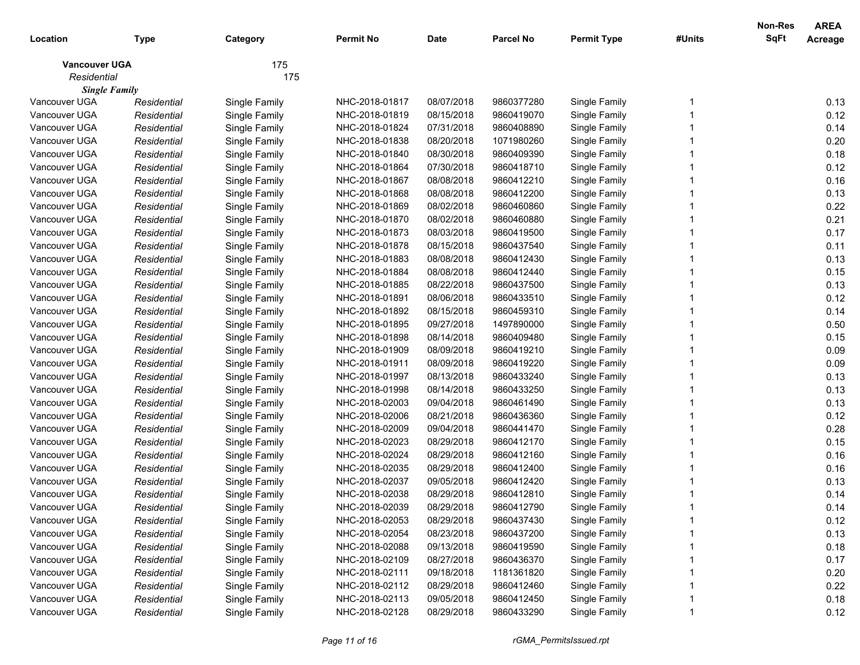| Location             | <b>Type</b> | Category      | <b>Permit No</b> | <b>Date</b> | <b>Parcel No</b> | <b>Permit Type</b> | #Units | <b>Non-Res</b><br><b>SqFt</b> | <b>AREA</b><br>Acreage |
|----------------------|-------------|---------------|------------------|-------------|------------------|--------------------|--------|-------------------------------|------------------------|
| <b>Vancouver UGA</b> |             | 175           |                  |             |                  |                    |        |                               |                        |
| Residential          |             | 175           |                  |             |                  |                    |        |                               |                        |
| <b>Single Family</b> |             |               |                  |             |                  |                    |        |                               |                        |
| Vancouver UGA        | Residential | Single Family | NHC-2018-01817   | 08/07/2018  | 9860377280       | Single Family      |        |                               | 0.13                   |
| Vancouver UGA        | Residential | Single Family | NHC-2018-01819   | 08/15/2018  | 9860419070       | Single Family      |        |                               | 0.12                   |
| Vancouver UGA        | Residential | Single Family | NHC-2018-01824   | 07/31/2018  | 9860408890       | Single Family      |        |                               | 0.14                   |
| Vancouver UGA        | Residential | Single Family | NHC-2018-01838   | 08/20/2018  | 1071980260       | Single Family      |        |                               | 0.20                   |
| Vancouver UGA        | Residential | Single Family | NHC-2018-01840   | 08/30/2018  | 9860409390       | Single Family      |        |                               | 0.18                   |
| Vancouver UGA        | Residential | Single Family | NHC-2018-01864   | 07/30/2018  | 9860418710       | Single Family      |        |                               | 0.12                   |
| Vancouver UGA        | Residential | Single Family | NHC-2018-01867   | 08/08/2018  | 9860412210       | Single Family      |        |                               | 0.16                   |
| Vancouver UGA        | Residential | Single Family | NHC-2018-01868   | 08/08/2018  | 9860412200       | Single Family      |        |                               | 0.13                   |
| Vancouver UGA        | Residential | Single Family | NHC-2018-01869   | 08/02/2018  | 9860460860       | Single Family      |        |                               | 0.22                   |
| Vancouver UGA        | Residential | Single Family | NHC-2018-01870   | 08/02/2018  | 9860460880       | Single Family      |        |                               | 0.21                   |
| Vancouver UGA        | Residential | Single Family | NHC-2018-01873   | 08/03/2018  | 9860419500       | Single Family      |        |                               | 0.17                   |
| Vancouver UGA        | Residential | Single Family | NHC-2018-01878   | 08/15/2018  | 9860437540       | Single Family      |        |                               | 0.11                   |
| Vancouver UGA        | Residential | Single Family | NHC-2018-01883   | 08/08/2018  | 9860412430       | Single Family      |        |                               | 0.13                   |
| Vancouver UGA        | Residential | Single Family | NHC-2018-01884   | 08/08/2018  | 9860412440       | Single Family      |        |                               | 0.15                   |
| Vancouver UGA        | Residential | Single Family | NHC-2018-01885   | 08/22/2018  | 9860437500       | Single Family      |        |                               | 0.13                   |
| Vancouver UGA        | Residential | Single Family | NHC-2018-01891   | 08/06/2018  | 9860433510       | Single Family      |        |                               | 0.12                   |
| Vancouver UGA        | Residential | Single Family | NHC-2018-01892   | 08/15/2018  | 9860459310       | Single Family      |        |                               | 0.14                   |
| Vancouver UGA        | Residential | Single Family | NHC-2018-01895   | 09/27/2018  | 1497890000       | Single Family      |        |                               | 0.50                   |
| Vancouver UGA        | Residential | Single Family | NHC-2018-01898   | 08/14/2018  | 9860409480       | Single Family      |        |                               | 0.15                   |
| Vancouver UGA        | Residential | Single Family | NHC-2018-01909   | 08/09/2018  | 9860419210       | Single Family      |        |                               | 0.09                   |
| Vancouver UGA        | Residential | Single Family | NHC-2018-01911   | 08/09/2018  | 9860419220       | Single Family      |        |                               | 0.09                   |
| Vancouver UGA        | Residential | Single Family | NHC-2018-01997   | 08/13/2018  | 9860433240       | Single Family      |        |                               | 0.13                   |
| Vancouver UGA        | Residential | Single Family | NHC-2018-01998   | 08/14/2018  | 9860433250       | Single Family      |        |                               | 0.13                   |
| Vancouver UGA        | Residential | Single Family | NHC-2018-02003   | 09/04/2018  | 9860461490       | Single Family      |        |                               | 0.13                   |
| Vancouver UGA        | Residential | Single Family | NHC-2018-02006   | 08/21/2018  | 9860436360       | Single Family      |        |                               | 0.12                   |
| Vancouver UGA        | Residential | Single Family | NHC-2018-02009   | 09/04/2018  | 9860441470       | Single Family      |        |                               | 0.28                   |
| Vancouver UGA        | Residential | Single Family | NHC-2018-02023   | 08/29/2018  | 9860412170       | Single Family      |        |                               | 0.15                   |
| Vancouver UGA        | Residential | Single Family | NHC-2018-02024   | 08/29/2018  | 9860412160       | Single Family      |        |                               | 0.16                   |
| Vancouver UGA        | Residential | Single Family | NHC-2018-02035   | 08/29/2018  | 9860412400       | Single Family      |        |                               | 0.16                   |
| Vancouver UGA        | Residential | Single Family | NHC-2018-02037   | 09/05/2018  | 9860412420       | Single Family      |        |                               | 0.13                   |
| Vancouver UGA        | Residential | Single Family | NHC-2018-02038   | 08/29/2018  | 9860412810       | Single Family      |        |                               | 0.14                   |
| Vancouver UGA        | Residential | Single Family | NHC-2018-02039   | 08/29/2018  | 9860412790       | Single Family      |        |                               | 0.14                   |
| Vancouver UGA        | Residential | Single Family | NHC-2018-02053   | 08/29/2018  | 9860437430       | Single Family      |        |                               | 0.12                   |
| Vancouver UGA        | Residential | Single Family | NHC-2018-02054   | 08/23/2018  | 9860437200       | Single Family      |        |                               | 0.13                   |
| Vancouver UGA        | Residential | Single Family | NHC-2018-02088   | 09/13/2018  | 9860419590       | Single Family      |        |                               | 0.18                   |
| Vancouver UGA        | Residential | Single Family | NHC-2018-02109   | 08/27/2018  | 9860436370       | Single Family      |        |                               | 0.17                   |
| Vancouver UGA        | Residential | Single Family | NHC-2018-02111   | 09/18/2018  | 1181361820       | Single Family      |        |                               | 0.20                   |
| Vancouver UGA        | Residential | Single Family | NHC-2018-02112   | 08/29/2018  | 9860412460       | Single Family      |        |                               | 0.22                   |
| Vancouver UGA        | Residential | Single Family | NHC-2018-02113   | 09/05/2018  | 9860412450       | Single Family      |        |                               | 0.18                   |
| Vancouver UGA        | Residential | Single Family | NHC-2018-02128   | 08/29/2018  | 9860433290       | Single Family      |        |                               | 0.12                   |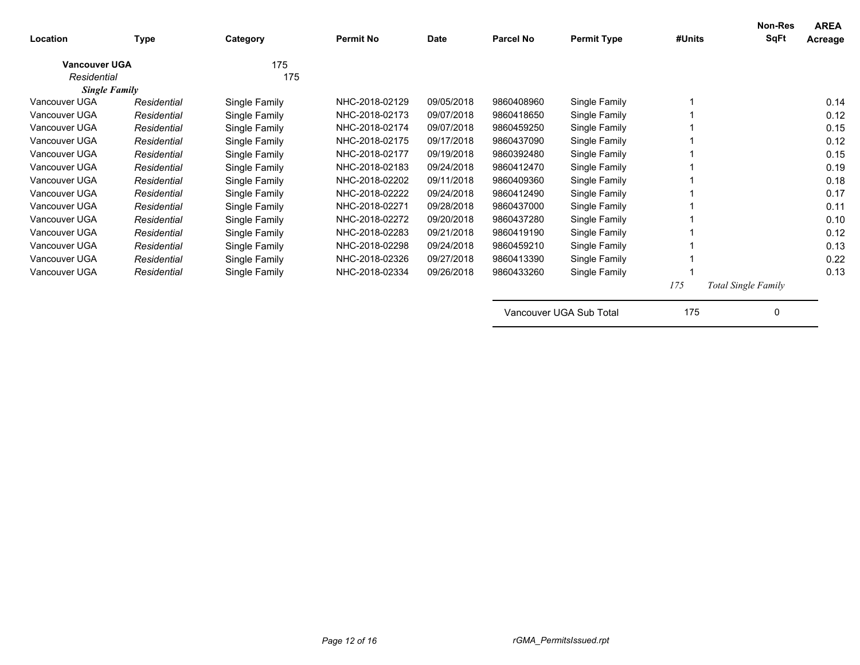| Location             | Type        | Category      | <b>Permit No</b> | Date       | <b>Parcel No</b> | <b>Permit Type</b> | #Units | Non-Res<br>SqFt            | <b>AREA</b><br>Acreage |
|----------------------|-------------|---------------|------------------|------------|------------------|--------------------|--------|----------------------------|------------------------|
| <b>Vancouver UGA</b> |             | 175           |                  |            |                  |                    |        |                            |                        |
| Residential          |             | 175           |                  |            |                  |                    |        |                            |                        |
| <b>Single Family</b> |             |               |                  |            |                  |                    |        |                            |                        |
| Vancouver UGA        | Residential | Single Family | NHC-2018-02129   | 09/05/2018 | 9860408960       | Single Family      |        |                            | 0.14                   |
| Vancouver UGA        | Residential | Single Family | NHC-2018-02173   | 09/07/2018 | 9860418650       | Single Family      |        |                            | 0.12                   |
| Vancouver UGA        | Residential | Single Family | NHC-2018-02174   | 09/07/2018 | 9860459250       | Single Family      |        |                            | 0.15                   |
| Vancouver UGA        | Residential | Single Family | NHC-2018-02175   | 09/17/2018 | 9860437090       | Single Family      |        |                            | 0.12                   |
| Vancouver UGA        | Residential | Single Family | NHC-2018-02177   | 09/19/2018 | 9860392480       | Single Family      |        |                            | 0.15                   |
| Vancouver UGA        | Residential | Single Family | NHC-2018-02183   | 09/24/2018 | 9860412470       | Single Family      |        |                            | 0.19                   |
| Vancouver UGA        | Residential | Single Family | NHC-2018-02202   | 09/11/2018 | 9860409360       | Single Family      |        |                            | 0.18                   |
| Vancouver UGA        | Residential | Single Family | NHC-2018-02222   | 09/24/2018 | 9860412490       | Single Family      |        |                            | 0.17                   |
| Vancouver UGA        | Residential | Single Family | NHC-2018-02271   | 09/28/2018 | 9860437000       | Single Family      |        |                            | 0.11                   |
| Vancouver UGA        | Residential | Single Family | NHC-2018-02272   | 09/20/2018 | 9860437280       | Single Family      |        |                            | 0.10                   |
| Vancouver UGA        | Residential | Single Family | NHC-2018-02283   | 09/21/2018 | 9860419190       | Single Family      |        |                            | 0.12                   |
| Vancouver UGA        | Residential | Single Family | NHC-2018-02298   | 09/24/2018 | 9860459210       | Single Family      |        |                            | 0.13                   |
| Vancouver UGA        | Residential | Single Family | NHC-2018-02326   | 09/27/2018 | 9860413390       | Single Family      |        |                            | 0.22                   |
| Vancouver UGA        | Residential | Single Family | NHC-2018-02334   | 09/26/2018 | 9860433260       | Single Family      |        |                            | 0.13                   |
|                      |             |               |                  |            |                  |                    | 175    | <b>Total Single Family</b> |                        |

Vancouver UGA Sub Total 175 0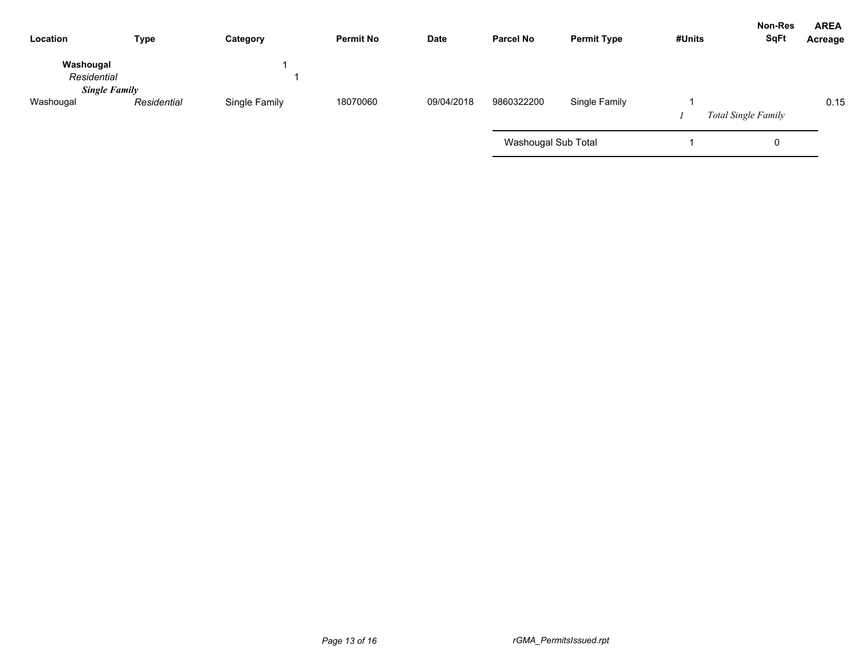| Location                 | <b>Type</b>          | Category      | <b>Permit No</b> | Date       | <b>Parcel No</b>    | <b>Permit Type</b> | #Units | <b>Non-Res</b><br><b>SqFt</b> | <b>AREA</b><br>Acreage |
|--------------------------|----------------------|---------------|------------------|------------|---------------------|--------------------|--------|-------------------------------|------------------------|
| Washougal<br>Residential | <b>Single Family</b> |               |                  |            |                     |                    |        |                               |                        |
| Washougal                | Residential          | Single Family | 18070060         | 09/04/2018 | 9860322200          | Single Family      |        | <b>Total Single Family</b>    | 0.15                   |
|                          |                      |               |                  |            | Washougal Sub Total |                    |        | 0                             |                        |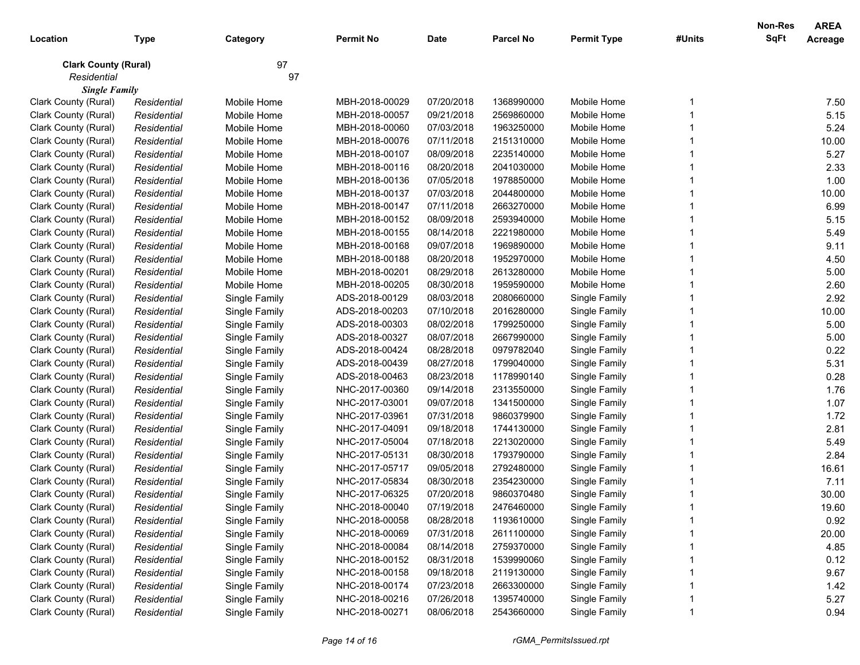|                             |             |               |                  |             |                  |                    |        | <b>Non-Res</b> | <b>AREA</b>    |
|-----------------------------|-------------|---------------|------------------|-------------|------------------|--------------------|--------|----------------|----------------|
| Location                    | Type        | Category      | <b>Permit No</b> | <b>Date</b> | <b>Parcel No</b> | <b>Permit Type</b> | #Units | SqFt           | <b>Acreage</b> |
| <b>Clark County (Rural)</b> |             | 97            |                  |             |                  |                    |        |                |                |
| Residential                 |             | 97            |                  |             |                  |                    |        |                |                |
| <b>Single Family</b>        |             |               |                  |             |                  |                    |        |                |                |
| Clark County (Rural)        | Residential | Mobile Home   | MBH-2018-00029   | 07/20/2018  | 1368990000       | Mobile Home        |        |                | 7.50           |
| Clark County (Rural)        | Residential | Mobile Home   | MBH-2018-00057   | 09/21/2018  | 2569860000       | Mobile Home        |        |                | 5.15           |
| Clark County (Rural)        | Residential | Mobile Home   | MBH-2018-00060   | 07/03/2018  | 1963250000       | Mobile Home        |        |                | 5.24           |
| Clark County (Rural)        | Residential | Mobile Home   | MBH-2018-00076   | 07/11/2018  | 2151310000       | Mobile Home        |        |                | 10.00          |
| Clark County (Rural)        | Residential | Mobile Home   | MBH-2018-00107   | 08/09/2018  | 2235140000       | Mobile Home        |        |                | 5.27           |
| Clark County (Rural)        | Residential | Mobile Home   | MBH-2018-00116   | 08/20/2018  | 2041030000       | Mobile Home        |        |                | 2.33           |
| Clark County (Rural)        | Residential | Mobile Home   | MBH-2018-00136   | 07/05/2018  | 1978850000       | Mobile Home        |        |                | 1.00           |
| Clark County (Rural)        | Residential | Mobile Home   | MBH-2018-00137   | 07/03/2018  | 2044800000       | Mobile Home        |        |                | 10.00          |
| Clark County (Rural)        | Residential | Mobile Home   | MBH-2018-00147   | 07/11/2018  | 2663270000       | Mobile Home        |        |                | 6.99           |
| Clark County (Rural)        | Residential | Mobile Home   | MBH-2018-00152   | 08/09/2018  | 2593940000       | Mobile Home        |        |                | 5.15           |
| Clark County (Rural)        | Residential | Mobile Home   | MBH-2018-00155   | 08/14/2018  | 2221980000       | Mobile Home        |        |                | 5.49           |
| Clark County (Rural)        | Residential | Mobile Home   | MBH-2018-00168   | 09/07/2018  | 1969890000       | Mobile Home        |        |                | 9.11           |
| Clark County (Rural)        | Residential | Mobile Home   | MBH-2018-00188   | 08/20/2018  | 1952970000       | Mobile Home        |        |                | 4.50           |
| Clark County (Rural)        | Residential | Mobile Home   | MBH-2018-00201   | 08/29/2018  | 2613280000       | Mobile Home        |        |                | 5.00           |
| Clark County (Rural)        | Residential | Mobile Home   | MBH-2018-00205   | 08/30/2018  | 1959590000       | Mobile Home        |        |                | 2.60           |
| Clark County (Rural)        | Residential | Single Family | ADS-2018-00129   | 08/03/2018  | 2080660000       | Single Family      |        |                | 2.92           |
| Clark County (Rural)        | Residential | Single Family | ADS-2018-00203   | 07/10/2018  | 2016280000       | Single Family      |        |                | 10.00          |
| Clark County (Rural)        | Residential | Single Family | ADS-2018-00303   | 08/02/2018  | 1799250000       | Single Family      |        |                | 5.00           |
| Clark County (Rural)        | Residential | Single Family | ADS-2018-00327   | 08/07/2018  | 2667990000       | Single Family      |        |                | 5.00           |
| Clark County (Rural)        | Residential | Single Family | ADS-2018-00424   | 08/28/2018  | 0979782040       | Single Family      |        |                | 0.22           |
| Clark County (Rural)        | Residential | Single Family | ADS-2018-00439   | 08/27/2018  | 1799040000       | Single Family      |        |                | 5.31           |
| Clark County (Rural)        | Residential | Single Family | ADS-2018-00463   | 08/23/2018  | 1178990140       | Single Family      |        |                | 0.28           |
| Clark County (Rural)        | Residential | Single Family | NHC-2017-00360   | 09/14/2018  | 2313550000       | Single Family      |        |                | 1.76           |
| Clark County (Rural)        | Residential | Single Family | NHC-2017-03001   | 09/07/2018  | 1341500000       | Single Family      |        |                | 1.07           |
| Clark County (Rural)        | Residential | Single Family | NHC-2017-03961   | 07/31/2018  | 9860379900       | Single Family      |        |                | 1.72           |
| Clark County (Rural)        | Residential | Single Family | NHC-2017-04091   | 09/18/2018  | 1744130000       | Single Family      |        |                | 2.81           |
| Clark County (Rural)        | Residential | Single Family | NHC-2017-05004   | 07/18/2018  | 2213020000       | Single Family      |        |                | 5.49           |
| Clark County (Rural)        | Residential | Single Family | NHC-2017-05131   | 08/30/2018  | 1793790000       | Single Family      |        |                | 2.84           |
| Clark County (Rural)        | Residential | Single Family | NHC-2017-05717   | 09/05/2018  | 2792480000       | Single Family      |        |                | 16.61          |
| Clark County (Rural)        | Residential | Single Family | NHC-2017-05834   | 08/30/2018  | 2354230000       | Single Family      |        |                | 7.11           |
| Clark County (Rural)        | Residential | Single Family | NHC-2017-06325   | 07/20/2018  | 9860370480       | Single Family      |        |                | 30.00          |
| Clark County (Rural)        | Residential | Single Family | NHC-2018-00040   | 07/19/2018  | 2476460000       | Single Family      |        |                | 19.60          |
| Clark County (Rural)        | Residential | Single Family | NHC-2018-00058   | 08/28/2018  | 1193610000       | Single Family      |        |                | 0.92           |
| Clark County (Rural)        | Residential | Single Family | NHC-2018-00069   | 07/31/2018  | 2611100000       | Single Family      |        |                | 20.00          |
| Clark County (Rural)        | Residential | Single Family | NHC-2018-00084   | 08/14/2018  | 2759370000       | Single Family      |        |                | 4.85           |
| Clark County (Rural)        | Residential | Single Family | NHC-2018-00152   | 08/31/2018  | 1539990060       | Single Family      |        |                | 0.12           |
| Clark County (Rural)        | Residential | Single Family | NHC-2018-00158   | 09/18/2018  | 2119130000       | Single Family      |        |                | 9.67           |
| Clark County (Rural)        | Residential | Single Family | NHC-2018-00174   | 07/23/2018  | 2663300000       | Single Family      |        |                | 1.42           |
| Clark County (Rural)        | Residential | Single Family | NHC-2018-00216   | 07/26/2018  | 1395740000       | Single Family      |        |                | 5.27           |
| Clark County (Rural)        | Residential | Single Family | NHC-2018-00271   | 08/06/2018  | 2543660000       | Single Family      |        |                | 0.94           |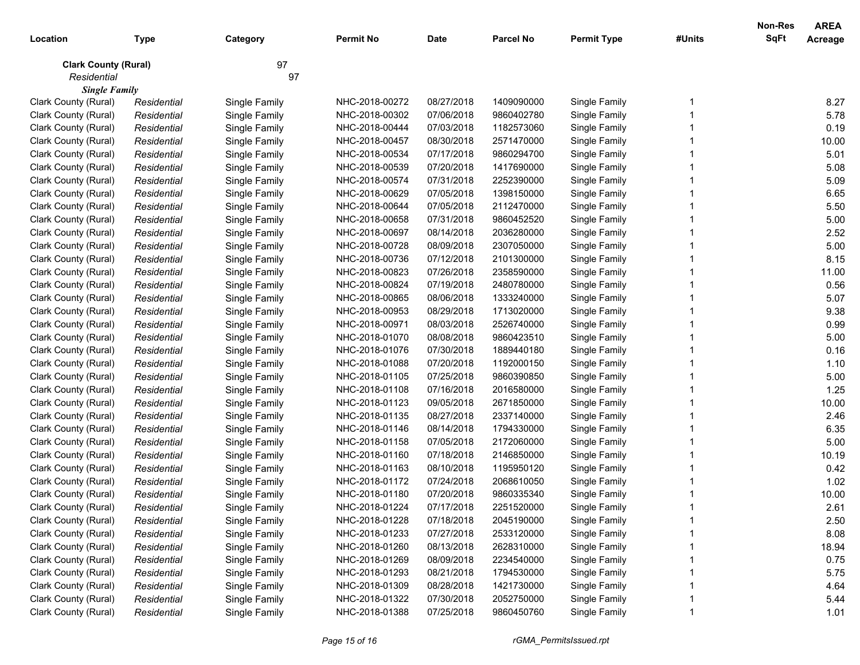|                             |             |               |                  |             |                  |                    |        | <b>Non-Res</b> | <b>AREA</b>    |
|-----------------------------|-------------|---------------|------------------|-------------|------------------|--------------------|--------|----------------|----------------|
| Location                    | <b>Type</b> | Category      | <b>Permit No</b> | <b>Date</b> | <b>Parcel No</b> | <b>Permit Type</b> | #Units | SqFt           | <b>Acreage</b> |
| <b>Clark County (Rural)</b> |             | 97            |                  |             |                  |                    |        |                |                |
| Residential                 |             | 97            |                  |             |                  |                    |        |                |                |
| <b>Single Family</b>        |             |               |                  |             |                  |                    |        |                |                |
| Clark County (Rural)        | Residential | Single Family | NHC-2018-00272   | 08/27/2018  | 1409090000       | Single Family      |        |                | 8.27           |
| Clark County (Rural)        | Residential | Single Family | NHC-2018-00302   | 07/06/2018  | 9860402780       | Single Family      |        |                | 5.78           |
| Clark County (Rural)        | Residential | Single Family | NHC-2018-00444   | 07/03/2018  | 1182573060       | Single Family      |        |                | 0.19           |
| Clark County (Rural)        | Residential | Single Family | NHC-2018-00457   | 08/30/2018  | 2571470000       | Single Family      |        |                | 10.00          |
| Clark County (Rural)        | Residential | Single Family | NHC-2018-00534   | 07/17/2018  | 9860294700       | Single Family      |        |                | 5.01           |
| Clark County (Rural)        | Residential | Single Family | NHC-2018-00539   | 07/20/2018  | 1417690000       | Single Family      |        |                | 5.08           |
| Clark County (Rural)        | Residential | Single Family | NHC-2018-00574   | 07/31/2018  | 2252390000       | Single Family      |        |                | 5.09           |
| Clark County (Rural)        | Residential | Single Family | NHC-2018-00629   | 07/05/2018  | 1398150000       | Single Family      |        |                | 6.65           |
| Clark County (Rural)        | Residential | Single Family | NHC-2018-00644   | 07/05/2018  | 2112470000       | Single Family      |        |                | 5.50           |
| Clark County (Rural)        | Residential | Single Family | NHC-2018-00658   | 07/31/2018  | 9860452520       | Single Family      |        |                | 5.00           |
| Clark County (Rural)        | Residential | Single Family | NHC-2018-00697   | 08/14/2018  | 2036280000       | Single Family      |        |                | 2.52           |
| Clark County (Rural)        | Residential | Single Family | NHC-2018-00728   | 08/09/2018  | 2307050000       | Single Family      |        |                | 5.00           |
| Clark County (Rural)        | Residential | Single Family | NHC-2018-00736   | 07/12/2018  | 2101300000       | Single Family      |        |                | 8.15           |
| Clark County (Rural)        | Residential | Single Family | NHC-2018-00823   | 07/26/2018  | 2358590000       | Single Family      |        |                | 11.00          |
| Clark County (Rural)        | Residential | Single Family | NHC-2018-00824   | 07/19/2018  | 2480780000       | Single Family      |        |                | 0.56           |
| Clark County (Rural)        | Residential | Single Family | NHC-2018-00865   | 08/06/2018  | 1333240000       | Single Family      |        |                | 5.07           |
| Clark County (Rural)        | Residential | Single Family | NHC-2018-00953   | 08/29/2018  | 1713020000       | Single Family      |        |                | 9.38           |
| Clark County (Rural)        | Residential | Single Family | NHC-2018-00971   | 08/03/2018  | 2526740000       | Single Family      |        |                | 0.99           |
| Clark County (Rural)        | Residential | Single Family | NHC-2018-01070   | 08/08/2018  | 9860423510       | Single Family      |        |                | 5.00           |
| Clark County (Rural)        | Residential | Single Family | NHC-2018-01076   | 07/30/2018  | 1889440180       | Single Family      |        |                | 0.16           |
| Clark County (Rural)        | Residential | Single Family | NHC-2018-01088   | 07/20/2018  | 1192000150       | Single Family      |        |                | 1.10           |
| Clark County (Rural)        | Residential | Single Family | NHC-2018-01105   | 07/25/2018  | 9860390850       | Single Family      |        |                | 5.00           |
| Clark County (Rural)        | Residential | Single Family | NHC-2018-01108   | 07/16/2018  | 2016580000       | Single Family      |        |                | 1.25           |
| Clark County (Rural)        | Residential | Single Family | NHC-2018-01123   | 09/05/2018  | 2671850000       | Single Family      |        |                | 10.00          |
| Clark County (Rural)        | Residential | Single Family | NHC-2018-01135   | 08/27/2018  | 2337140000       | Single Family      |        |                | 2.46           |
| Clark County (Rural)        | Residential | Single Family | NHC-2018-01146   | 08/14/2018  | 1794330000       | Single Family      |        |                | 6.35           |
| Clark County (Rural)        | Residential | Single Family | NHC-2018-01158   | 07/05/2018  | 2172060000       | Single Family      |        |                | 5.00           |
| Clark County (Rural)        | Residential | Single Family | NHC-2018-01160   | 07/18/2018  | 2146850000       | Single Family      |        |                | 10.19          |
| Clark County (Rural)        | Residential | Single Family | NHC-2018-01163   | 08/10/2018  | 1195950120       | Single Family      |        |                | 0.42           |
| Clark County (Rural)        | Residential | Single Family | NHC-2018-01172   | 07/24/2018  | 2068610050       | Single Family      |        |                | 1.02           |
| Clark County (Rural)        | Residential | Single Family | NHC-2018-01180   | 07/20/2018  | 9860335340       | Single Family      |        |                | 10.00          |
| Clark County (Rural)        | Residential | Single Family | NHC-2018-01224   | 07/17/2018  | 2251520000       | Single Family      |        |                | 2.61           |
| Clark County (Rural)        | Residential | Single Family | NHC-2018-01228   | 07/18/2018  | 2045190000       | Single Family      |        |                | 2.50           |
| Clark County (Rural)        | Residential | Single Family | NHC-2018-01233   | 07/27/2018  | 2533120000       | Single Family      |        |                | 8.08           |
| Clark County (Rural)        | Residential | Single Family | NHC-2018-01260   | 08/13/2018  | 2628310000       | Single Family      |        |                | 18.94          |
| Clark County (Rural)        | Residential | Single Family | NHC-2018-01269   | 08/09/2018  | 2234540000       | Single Family      |        |                | 0.75           |
| Clark County (Rural)        | Residential | Single Family | NHC-2018-01293   | 08/21/2018  | 1794530000       | Single Family      |        |                | 5.75           |
| Clark County (Rural)        | Residential | Single Family | NHC-2018-01309   | 08/28/2018  | 1421730000       | Single Family      |        |                | 4.64           |
| Clark County (Rural)        | Residential | Single Family | NHC-2018-01322   | 07/30/2018  | 2052750000       | Single Family      |        |                | 5.44           |
| Clark County (Rural)        | Residential | Single Family | NHC-2018-01388   | 07/25/2018  | 9860450760       | Single Family      |        |                | 1.01           |